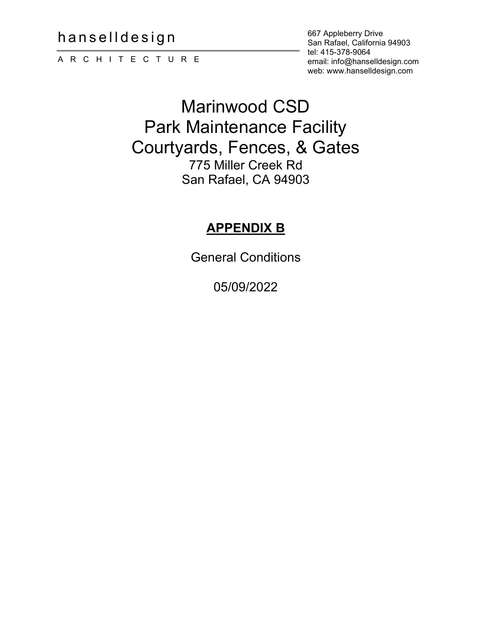hanselldesign

ARCHITECTURE

667 Appleberry Drive San Rafael, California 94903 tel: 415-378-9064 email: info@hanselldesign.com web: www.hanselldesign.com

# Marinwood CSD Park Maintenance Facility Courtyards, Fences, & Gates 775 Miller Creek Rd San Rafael, CA 94903

# **APPENDIX B**

General Conditions

05/09/2022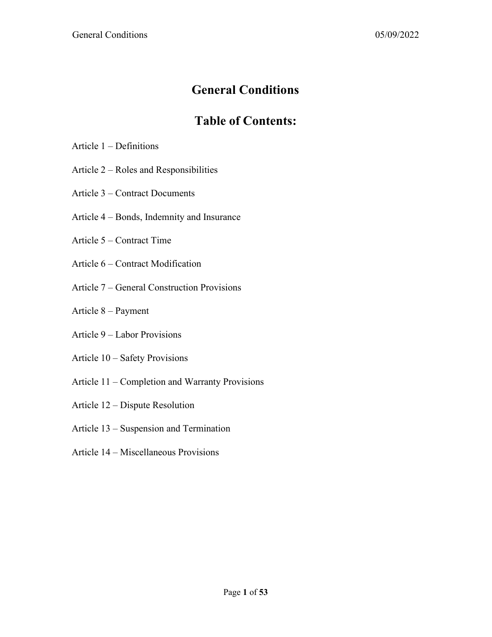# **General Conditions**

# **Table of Contents:**

- Article 1 Definitions
- Article 2 Roles and Responsibilities
- Article 3 Contract Documents
- Article 4 Bonds, Indemnity and Insurance
- Article 5 Contract Time
- Article 6 Contract Modification
- Article 7 General Construction Provisions
- Article 8 Payment
- Article 9 Labor Provisions
- Article 10 Safety Provisions
- Article 11 Completion and Warranty Provisions
- Article 12 Dispute Resolution
- Article 13 Suspension and Termination
- Article 14 Miscellaneous Provisions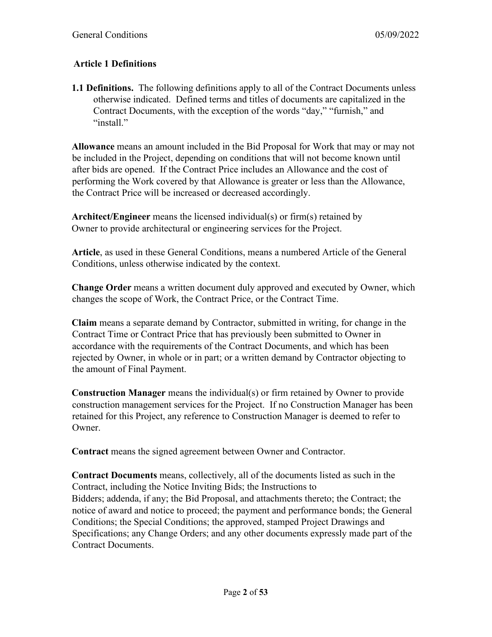# **Article 1 Definitions**

**1.1 Definitions.** The following definitions apply to all of the Contract Documents unless otherwise indicated. Defined terms and titles of documents are capitalized in the Contract Documents, with the exception of the words "day," "furnish," and "install."

**Allowance** means an amount included in the Bid Proposal for Work that may or may not be included in the Project, depending on conditions that will not become known until after bids are opened. If the Contract Price includes an Allowance and the cost of performing the Work covered by that Allowance is greater or less than the Allowance, the Contract Price will be increased or decreased accordingly.

**Architect/Engineer** means the licensed individual(s) or firm(s) retained by Owner to provide architectural or engineering services for the Project.

**Article**, as used in these General Conditions, means a numbered Article of the General Conditions, unless otherwise indicated by the context.

**Change Order** means a written document duly approved and executed by Owner, which changes the scope of Work, the Contract Price, or the Contract Time.

**Claim** means a separate demand by Contractor, submitted in writing, for change in the Contract Time or Contract Price that has previously been submitted to Owner in accordance with the requirements of the Contract Documents, and which has been rejected by Owner, in whole or in part; or a written demand by Contractor objecting to the amount of Final Payment.

**Construction Manager** means the individual(s) or firm retained by Owner to provide construction management services for the Project. If no Construction Manager has been retained for this Project, any reference to Construction Manager is deemed to refer to Owner.

**Contract** means the signed agreement between Owner and Contractor.

**Contract Documents** means, collectively, all of the documents listed as such in the Contract, including the Notice Inviting Bids; the Instructions to Bidders; addenda, if any; the Bid Proposal, and attachments thereto; the Contract; the notice of award and notice to proceed; the payment and performance bonds; the General Conditions; the Special Conditions; the approved, stamped Project Drawings and Specifications; any Change Orders; and any other documents expressly made part of the Contract Documents.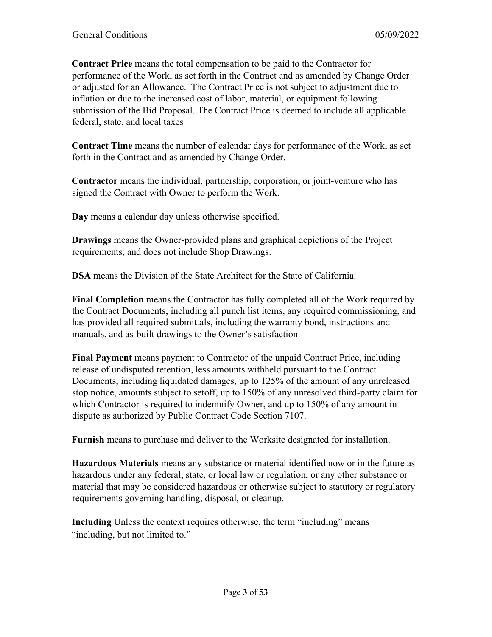**Contract Price** means the total compensation to be paid to the Contractor for performance of the Work, as set forth in the Contract and as amended by Change Order or adjusted for an Allowance. The Contract Price is not subject to adjustment due to inflation or due to the increased cost of labor, material, or equipment following submission of the Bid Proposal. The Contract Price is deemed to include all applicable federal, state, and local taxes

**Contract Time** means the number of calendar days for performance of the Work, as set forth in the Contract and as amended by Change Order.

**Contractor** means the individual, partnership, corporation, or joint-venture who has signed the Contract with Owner to perform the Work.

**Day** means a calendar day unless otherwise specified.

**Drawings** means the Owner-provided plans and graphical depictions of the Project requirements, and does not include Shop Drawings.

**DSA** means the Division of the State Architect for the State of California.

**Final Completion** means the Contractor has fully completed all of the Work required by the Contract Documents, including all punch list items, any required commissioning, and has provided all required submittals, including the warranty bond, instructions and manuals, and as-built drawings to the Owner's satisfaction.

**Final Payment** means payment to Contractor of the unpaid Contract Price, including release of undisputed retention, less amounts withheld pursuant to the Contract Documents, including liquidated damages, up to 125% of the amount of any unreleased stop notice, amounts subject to setoff, up to 150% of any unresolved third-party claim for which Contractor is required to indemnify Owner, and up to 150% of any amount in dispute as authorized by Public Contract Code Section 7107.

**Furnish** means to purchase and deliver to the Worksite designated for installation.

**Hazardous Materials** means any substance or material identified now or in the future as hazardous under any federal, state, or local law or regulation, or any other substance or material that may be considered hazardous or otherwise subject to statutory or regulatory requirements governing handling, disposal, or cleanup.

**Including** Unless the context requires otherwise, the term "including" means "including, but not limited to."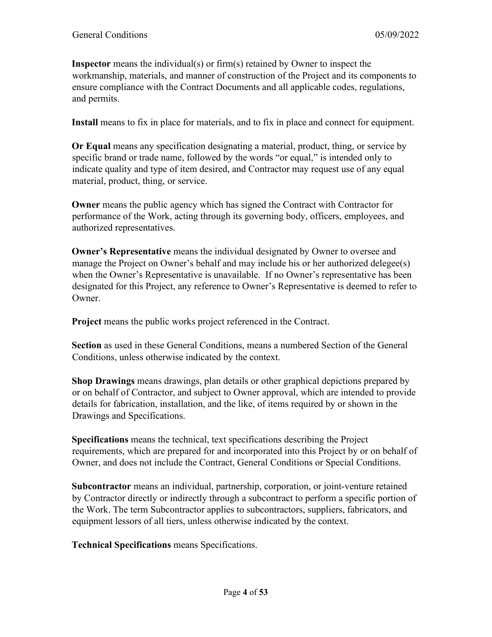**Inspector** means the individual(s) or firm(s) retained by Owner to inspect the workmanship, materials, and manner of construction of the Project and its components to ensure compliance with the Contract Documents and all applicable codes, regulations, and permits.

**Install** means to fix in place for materials, and to fix in place and connect for equipment.

**Or Equal** means any specification designating a material, product, thing, or service by specific brand or trade name, followed by the words "or equal," is intended only to indicate quality and type of item desired, and Contractor may request use of any equal material, product, thing, or service.

**Owner** means the public agency which has signed the Contract with Contractor for performance of the Work, acting through its governing body, officers, employees, and authorized representatives.

**Owner's Representative** means the individual designated by Owner to oversee and manage the Project on Owner's behalf and may include his or her authorized delegee(s) when the Owner's Representative is unavailable. If no Owner's representative has been designated for this Project, any reference to Owner's Representative is deemed to refer to Owner.

**Project** means the public works project referenced in the Contract.

**Section** as used in these General Conditions, means a numbered Section of the General Conditions, unless otherwise indicated by the context.

**Shop Drawings** means drawings, plan details or other graphical depictions prepared by or on behalf of Contractor, and subject to Owner approval, which are intended to provide details for fabrication, installation, and the like, of items required by or shown in the Drawings and Specifications.

**Specifications** means the technical, text specifications describing the Project requirements, which are prepared for and incorporated into this Project by or on behalf of Owner, and does not include the Contract, General Conditions or Special Conditions.

**Subcontractor** means an individual, partnership, corporation, or joint-venture retained by Contractor directly or indirectly through a subcontract to perform a specific portion of the Work. The term Subcontractor applies to subcontractors, suppliers, fabricators, and equipment lessors of all tiers, unless otherwise indicated by the context.

**Technical Specifications** means Specifications.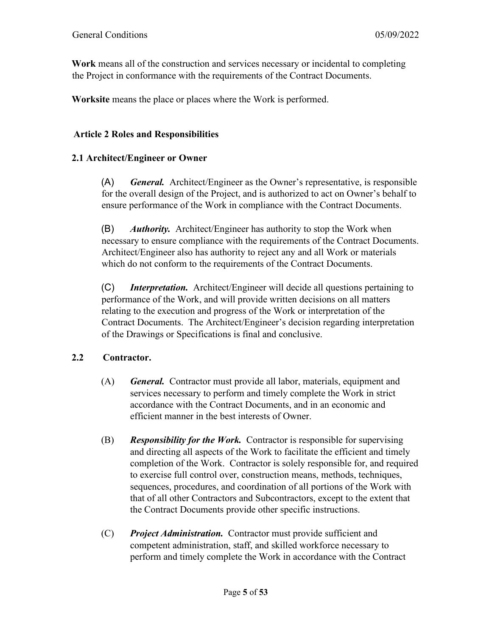**Work** means all of the construction and services necessary or incidental to completing the Project in conformance with the requirements of the Contract Documents.

**Worksite** means the place or places where the Work is performed.

#### **Article 2 Roles and Responsibilities**

### **2.1 Architect/Engineer or Owner**

(A) *General.* Architect/Engineer as the Owner's representative, is responsible for the overall design of the Project, and is authorized to act on Owner's behalf to ensure performance of the Work in compliance with the Contract Documents.

(B) *Authority.* Architect/Engineer has authority to stop the Work when necessary to ensure compliance with the requirements of the Contract Documents. Architect/Engineer also has authority to reject any and all Work or materials which do not conform to the requirements of the Contract Documents.

(C) *Interpretation.* Architect/Engineer will decide all questions pertaining to performance of the Work, and will provide written decisions on all matters relating to the execution and progress of the Work or interpretation of the Contract Documents. The Architect/Engineer's decision regarding interpretation of the Drawings or Specifications is final and conclusive.

# **2.2 Contractor.**

- (A) *General.* Contractor must provide all labor, materials, equipment and services necessary to perform and timely complete the Work in strict accordance with the Contract Documents, and in an economic and efficient manner in the best interests of Owner.
- (B) *Responsibility for the Work.* Contractor is responsible for supervising and directing all aspects of the Work to facilitate the efficient and timely completion of the Work. Contractor is solely responsible for, and required to exercise full control over, construction means, methods, techniques, sequences, procedures, and coordination of all portions of the Work with that of all other Contractors and Subcontractors, except to the extent that the Contract Documents provide other specific instructions.
- (C) *Project Administration.* Contractor must provide sufficient and competent administration, staff, and skilled workforce necessary to perform and timely complete the Work in accordance with the Contract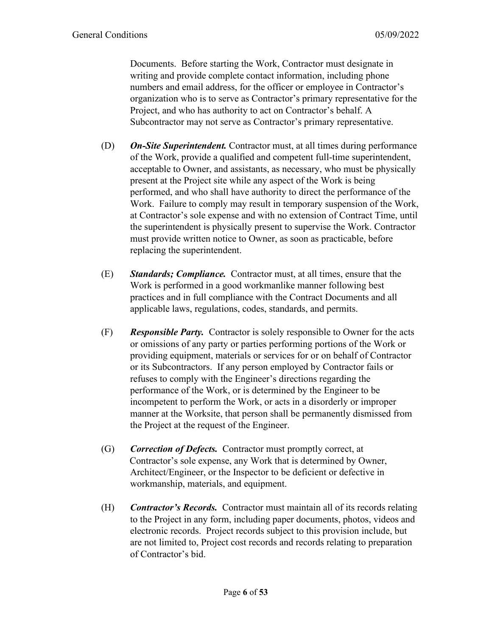Documents. Before starting the Work, Contractor must designate in writing and provide complete contact information, including phone numbers and email address, for the officer or employee in Contractor's organization who is to serve as Contractor's primary representative for the Project, and who has authority to act on Contractor's behalf. A Subcontractor may not serve as Contractor's primary representative.

- (D) *On-Site Superintendent.* Contractor must, at all times during performance of the Work, provide a qualified and competent full-time superintendent, acceptable to Owner, and assistants, as necessary, who must be physically present at the Project site while any aspect of the Work is being performed, and who shall have authority to direct the performance of the Work. Failure to comply may result in temporary suspension of the Work, at Contractor's sole expense and with no extension of Contract Time, until the superintendent is physically present to supervise the Work. Contractor must provide written notice to Owner, as soon as practicable, before replacing the superintendent.
- (E) *Standards; Compliance.* Contractor must, at all times, ensure that the Work is performed in a good workmanlike manner following best practices and in full compliance with the Contract Documents and all applicable laws, regulations, codes, standards, and permits.
- (F) *Responsible Party.* Contractor is solely responsible to Owner for the acts or omissions of any party or parties performing portions of the Work or providing equipment, materials or services for or on behalf of Contractor or its Subcontractors. If any person employed by Contractor fails or refuses to comply with the Engineer's directions regarding the performance of the Work, or is determined by the Engineer to be incompetent to perform the Work, or acts in a disorderly or improper manner at the Worksite, that person shall be permanently dismissed from the Project at the request of the Engineer.
- (G) *Correction of Defects.* Contractor must promptly correct, at Contractor's sole expense, any Work that is determined by Owner, Architect/Engineer, or the Inspector to be deficient or defective in workmanship, materials, and equipment.
- (H) *Contractor's Records.* Contractor must maintain all of its records relating to the Project in any form, including paper documents, photos, videos and electronic records. Project records subject to this provision include, but are not limited to, Project cost records and records relating to preparation of Contractor's bid.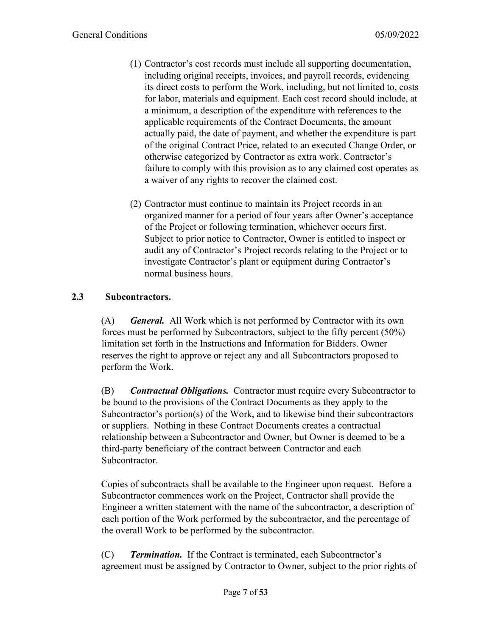- (1) Contractor's cost records must include all supporting documentation, including original receipts, invoices, and payroll records, evidencing its direct costs to perform the Work, including, but not limited to, costs for labor, materials and equipment. Each cost record should include, at a minimum, a description of the expenditure with references to the applicable requirements of the Contract Documents, the amount actually paid, the date of payment, and whether the expenditure is part of the original Contract Price, related to an executed Change Order, or otherwise categorized by Contractor as extra work. Contractor's failure to comply with this provision as to any claimed cost operates as a waiver of any rights to recover the claimed cost.
- (2) Contractor must continue to maintain its Project records in an organized manner for a period of four years after Owner's acceptance of the Project or following termination, whichever occurs first. Subject to prior notice to Contractor, Owner is entitled to inspect or audit any of Contractor's Project records relating to the Project or to investigate Contractor's plant or equipment during Contractor's normal business hours.

# **2.3 Subcontractors.**

(A) *General.* All Work which is not performed by Contractor with its own forces must be performed by Subcontractors, subject to the fifty percent (50%) limitation set forth in the Instructions and Information for Bidders. Owner reserves the right to approve or reject any and all Subcontractors proposed to perform the Work.

(B) *Contractual Obligations.* Contractor must require every Subcontractor to be bound to the provisions of the Contract Documents as they apply to the Subcontractor's portion(s) of the Work, and to likewise bind their subcontractors or suppliers. Nothing in these Contract Documents creates a contractual relationship between a Subcontractor and Owner, but Owner is deemed to be a third-party beneficiary of the contract between Contractor and each Subcontractor.

Copies of subcontracts shall be available to the Engineer upon request. Before a Subcontractor commences work on the Project, Contractor shall provide the Engineer a written statement with the name of the subcontractor, a description of each portion of the Work performed by the subcontractor, and the percentage of the overall Work to be performed by the subcontractor.

(C) *Termination.* If the Contract is terminated, each Subcontractor's agreement must be assigned by Contractor to Owner, subject to the prior rights of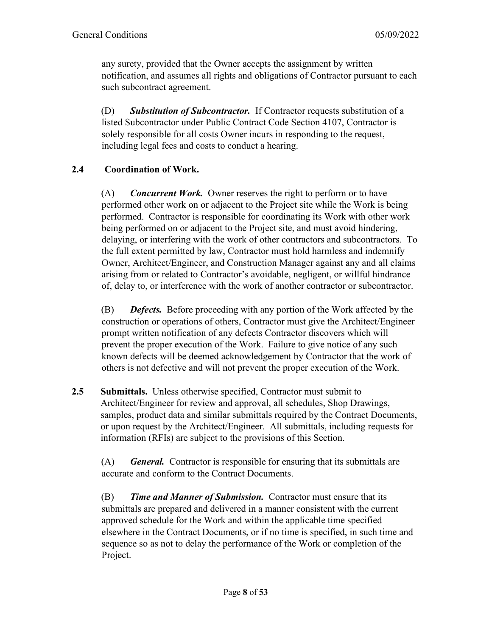any surety, provided that the Owner accepts the assignment by written notification, and assumes all rights and obligations of Contractor pursuant to each such subcontract agreement.

(D) *Substitution of Subcontractor.* If Contractor requests substitution of a listed Subcontractor under Public Contract Code Section 4107, Contractor is solely responsible for all costs Owner incurs in responding to the request, including legal fees and costs to conduct a hearing.

# **2.4 Coordination of Work.**

(A) *Concurrent Work.* Owner reserves the right to perform or to have performed other work on or adjacent to the Project site while the Work is being performed. Contractor is responsible for coordinating its Work with other work being performed on or adjacent to the Project site, and must avoid hindering, delaying, or interfering with the work of other contractors and subcontractors. To the full extent permitted by law, Contractor must hold harmless and indemnify Owner, Architect/Engineer, and Construction Manager against any and all claims arising from or related to Contractor's avoidable, negligent, or willful hindrance of, delay to, or interference with the work of another contractor or subcontractor.

(B) *Defects.* Before proceeding with any portion of the Work affected by the construction or operations of others, Contractor must give the Architect/Engineer prompt written notification of any defects Contractor discovers which will prevent the proper execution of the Work. Failure to give notice of any such known defects will be deemed acknowledgement by Contractor that the work of others is not defective and will not prevent the proper execution of the Work.

**2.5 Submittals.** Unless otherwise specified, Contractor must submit to Architect/Engineer for review and approval, all schedules, Shop Drawings, samples, product data and similar submittals required by the Contract Documents, or upon request by the Architect/Engineer. All submittals, including requests for information (RFIs) are subject to the provisions of this Section.

(A) *General.* Contractor is responsible for ensuring that its submittals are accurate and conform to the Contract Documents.

(B) *Time and Manner of Submission.* Contractor must ensure that its submittals are prepared and delivered in a manner consistent with the current approved schedule for the Work and within the applicable time specified elsewhere in the Contract Documents, or if no time is specified, in such time and sequence so as not to delay the performance of the Work or completion of the Project.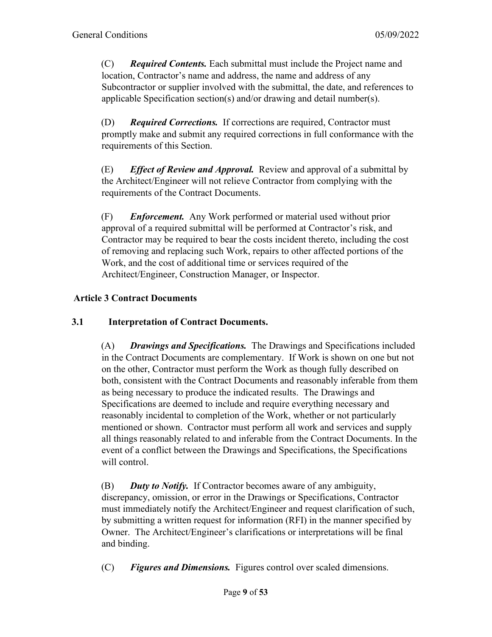(C) *Required Contents.* Each submittal must include the Project name and location, Contractor's name and address, the name and address of any Subcontractor or supplier involved with the submittal, the date, and references to applicable Specification section(s) and/or drawing and detail number(s).

(D) *Required Corrections.* If corrections are required, Contractor must promptly make and submit any required corrections in full conformance with the requirements of this Section.

(E) *Effect of Review and Approval.* Review and approval of a submittal by the Architect/Engineer will not relieve Contractor from complying with the requirements of the Contract Documents.

(F) *Enforcement.* Any Work performed or material used without prior approval of a required submittal will be performed at Contractor's risk, and Contractor may be required to bear the costs incident thereto, including the cost of removing and replacing such Work, repairs to other affected portions of the Work, and the cost of additional time or services required of the Architect/Engineer, Construction Manager, or Inspector.

# **Article 3 Contract Documents**

### **3.1 Interpretation of Contract Documents.**

(A) *Drawings and Specifications.* The Drawings and Specifications included in the Contract Documents are complementary. If Work is shown on one but not on the other, Contractor must perform the Work as though fully described on both, consistent with the Contract Documents and reasonably inferable from them as being necessary to produce the indicated results. The Drawings and Specifications are deemed to include and require everything necessary and reasonably incidental to completion of the Work, whether or not particularly mentioned or shown. Contractor must perform all work and services and supply all things reasonably related to and inferable from the Contract Documents. In the event of a conflict between the Drawings and Specifications, the Specifications will control.

(B) *Duty to Notify.* If Contractor becomes aware of any ambiguity, discrepancy, omission, or error in the Drawings or Specifications, Contractor must immediately notify the Architect/Engineer and request clarification of such, by submitting a written request for information (RFI) in the manner specified by Owner. The Architect/Engineer's clarifications or interpretations will be final and binding.

(C) *Figures and Dimensions.* Figures control over scaled dimensions.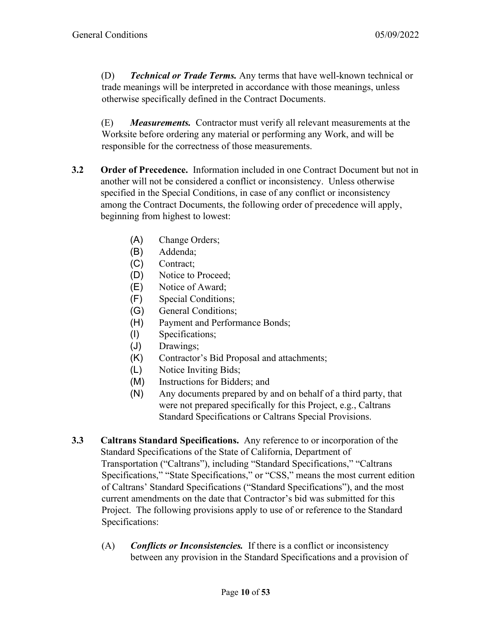(D) *Technical or Trade Terms.* Any terms that have well-known technical or trade meanings will be interpreted in accordance with those meanings, unless otherwise specifically defined in the Contract Documents.

(E) *Measurements.* Contractor must verify all relevant measurements at the Worksite before ordering any material or performing any Work, and will be responsible for the correctness of those measurements.

- **3.2 Order of Precedence.** Information included in one Contract Document but not in another will not be considered a conflict or inconsistency. Unless otherwise specified in the Special Conditions, in case of any conflict or inconsistency among the Contract Documents, the following order of precedence will apply, beginning from highest to lowest:
	- (A) Change Orders;
	- (B) Addenda;
	- (C) Contract;
	- (D) Notice to Proceed;
	- (E) Notice of Award;
	- (F) Special Conditions;
	- (G) General Conditions;
	- (H) Payment and Performance Bonds;
	- (I) Specifications;
	- (J) Drawings;
	- (K) Contractor's Bid Proposal and attachments;
	- (L) Notice Inviting Bids;
	- (M) Instructions for Bidders; and
	- (N) Any documents prepared by and on behalf of a third party, that were not prepared specifically for this Project, e.g., Caltrans Standard Specifications or Caltrans Special Provisions.
- **3.3 Caltrans Standard Specifications.** Any reference to or incorporation of the Standard Specifications of the State of California, Department of Transportation ("Caltrans"), including "Standard Specifications," "Caltrans Specifications," "State Specifications," or "CSS," means the most current edition of Caltrans' Standard Specifications ("Standard Specifications"), and the most current amendments on the date that Contractor's bid was submitted for this Project. The following provisions apply to use of or reference to the Standard Specifications:
	- (A) *Conflicts or Inconsistencies.* If there is a conflict or inconsistency between any provision in the Standard Specifications and a provision of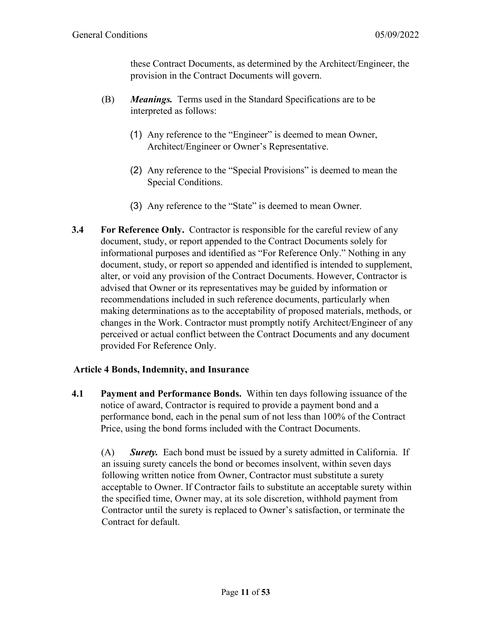these Contract Documents, as determined by the Architect/Engineer, the provision in the Contract Documents will govern.

- (B) *Meanings.* Terms used in the Standard Specifications are to be interpreted as follows:
	- (1) Any reference to the "Engineer" is deemed to mean Owner, Architect/Engineer or Owner's Representative.
	- (2) Any reference to the "Special Provisions" is deemed to mean the Special Conditions.
	- (3) Any reference to the "State" is deemed to mean Owner.
- **3.4 For Reference Only.** Contractor is responsible for the careful review of any document, study, or report appended to the Contract Documents solely for informational purposes and identified as "For Reference Only." Nothing in any document, study, or report so appended and identified is intended to supplement, alter, or void any provision of the Contract Documents. However, Contractor is advised that Owner or its representatives may be guided by information or recommendations included in such reference documents, particularly when making determinations as to the acceptability of proposed materials, methods, or changes in the Work. Contractor must promptly notify Architect/Engineer of any perceived or actual conflict between the Contract Documents and any document provided For Reference Only.

#### **Article 4 Bonds, Indemnity, and Insurance**

**4.1 Payment and Performance Bonds.** Within ten days following issuance of the notice of award, Contractor is required to provide a payment bond and a performance bond, each in the penal sum of not less than 100% of the Contract Price, using the bond forms included with the Contract Documents.

(A) *Surety.* Each bond must be issued by a surety admitted in California. If an issuing surety cancels the bond or becomes insolvent, within seven days following written notice from Owner, Contractor must substitute a surety acceptable to Owner. If Contractor fails to substitute an acceptable surety within the specified time, Owner may, at its sole discretion, withhold payment from Contractor until the surety is replaced to Owner's satisfaction, or terminate the Contract for default.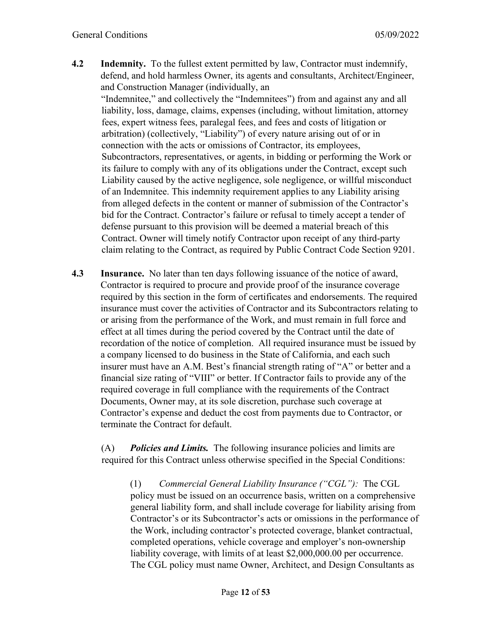**4.2 Indemnity.** To the fullest extent permitted by law, Contractor must indemnify, defend, and hold harmless Owner, its agents and consultants, Architect/Engineer, and Construction Manager (individually, an

"Indemnitee," and collectively the "Indemnitees") from and against any and all liability, loss, damage, claims, expenses (including, without limitation, attorney fees, expert witness fees, paralegal fees, and fees and costs of litigation or arbitration) (collectively, "Liability") of every nature arising out of or in connection with the acts or omissions of Contractor, its employees, Subcontractors, representatives, or agents, in bidding or performing the Work or its failure to comply with any of its obligations under the Contract, except such Liability caused by the active negligence, sole negligence, or willful misconduct of an Indemnitee. This indemnity requirement applies to any Liability arising from alleged defects in the content or manner of submission of the Contractor's bid for the Contract. Contractor's failure or refusal to timely accept a tender of defense pursuant to this provision will be deemed a material breach of this Contract. Owner will timely notify Contractor upon receipt of any third-party claim relating to the Contract, as required by Public Contract Code Section 9201.

**4.3 Insurance.** No later than ten days following issuance of the notice of award, Contractor is required to procure and provide proof of the insurance coverage required by this section in the form of certificates and endorsements. The required insurance must cover the activities of Contractor and its Subcontractors relating to or arising from the performance of the Work, and must remain in full force and effect at all times during the period covered by the Contract until the date of recordation of the notice of completion. All required insurance must be issued by a company licensed to do business in the State of California, and each such insurer must have an A.M. Best's financial strength rating of "A" or better and a financial size rating of "VIII" or better. If Contractor fails to provide any of the required coverage in full compliance with the requirements of the Contract Documents, Owner may, at its sole discretion, purchase such coverage at Contractor's expense and deduct the cost from payments due to Contractor, or terminate the Contract for default.

(A) *Policies and Limits.* The following insurance policies and limits are required for this Contract unless otherwise specified in the Special Conditions:

(1) *Commercial General Liability Insurance ("CGL"):* The CGL policy must be issued on an occurrence basis, written on a comprehensive general liability form, and shall include coverage for liability arising from Contractor's or its Subcontractor's acts or omissions in the performance of the Work, including contractor's protected coverage, blanket contractual, completed operations, vehicle coverage and employer's non-ownership liability coverage, with limits of at least \$2,000,000.00 per occurrence. The CGL policy must name Owner, Architect, and Design Consultants as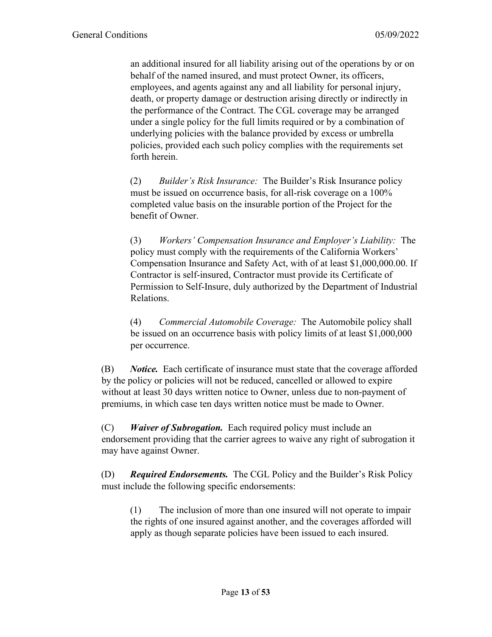an additional insured for all liability arising out of the operations by or on behalf of the named insured, and must protect Owner, its officers, employees, and agents against any and all liability for personal injury, death, or property damage or destruction arising directly or indirectly in the performance of the Contract. The CGL coverage may be arranged under a single policy for the full limits required or by a combination of underlying policies with the balance provided by excess or umbrella policies, provided each such policy complies with the requirements set forth herein.

(2) *Builder's Risk Insurance:* The Builder's Risk Insurance policy must be issued on occurrence basis, for all-risk coverage on a 100% completed value basis on the insurable portion of the Project for the benefit of Owner.

(3) *Workers' Compensation Insurance and Employer's Liability:* The policy must comply with the requirements of the California Workers' Compensation Insurance and Safety Act, with of at least \$1,000,000.00. If Contractor is self-insured, Contractor must provide its Certificate of Permission to Self-Insure, duly authorized by the Department of Industrial Relations.

(4) *Commercial Automobile Coverage:* The Automobile policy shall be issued on an occurrence basis with policy limits of at least \$1,000,000 per occurrence.

(B) *Notice.* Each certificate of insurance must state that the coverage afforded by the policy or policies will not be reduced, cancelled or allowed to expire without at least 30 days written notice to Owner, unless due to non-payment of premiums, in which case ten days written notice must be made to Owner.

(C) *Waiver of Subrogation.* Each required policy must include an endorsement providing that the carrier agrees to waive any right of subrogation it may have against Owner.

(D) *Required Endorsements.* The CGL Policy and the Builder's Risk Policy must include the following specific endorsements:

(1) The inclusion of more than one insured will not operate to impair the rights of one insured against another, and the coverages afforded will apply as though separate policies have been issued to each insured.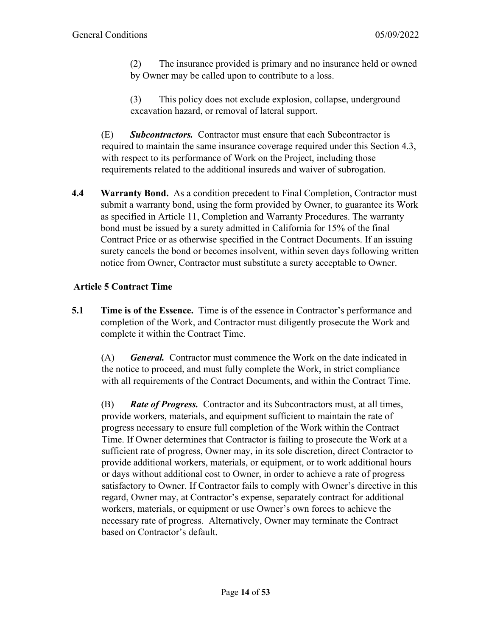(2) The insurance provided is primary and no insurance held or owned by Owner may be called upon to contribute to a loss.

(3) This policy does not exclude explosion, collapse, underground excavation hazard, or removal of lateral support.

(E) *Subcontractors.* Contractor must ensure that each Subcontractor is required to maintain the same insurance coverage required under this Section 4.3, with respect to its performance of Work on the Project, including those requirements related to the additional insureds and waiver of subrogation.

**4.4 Warranty Bond.** As a condition precedent to Final Completion, Contractor must submit a warranty bond, using the form provided by Owner, to guarantee its Work as specified in Article 11, Completion and Warranty Procedures. The warranty bond must be issued by a surety admitted in California for 15% of the final Contract Price or as otherwise specified in the Contract Documents. If an issuing surety cancels the bond or becomes insolvent, within seven days following written notice from Owner, Contractor must substitute a surety acceptable to Owner.

# **Article 5 Contract Time**

**5.1 Time is of the Essence.** Time is of the essence in Contractor's performance and completion of the Work, and Contractor must diligently prosecute the Work and complete it within the Contract Time.

(A) *General.* Contractor must commence the Work on the date indicated in the notice to proceed, and must fully complete the Work, in strict compliance with all requirements of the Contract Documents, and within the Contract Time.

(B) *Rate of Progress.* Contractor and its Subcontractors must, at all times, provide workers, materials, and equipment sufficient to maintain the rate of progress necessary to ensure full completion of the Work within the Contract Time. If Owner determines that Contractor is failing to prosecute the Work at a sufficient rate of progress, Owner may, in its sole discretion, direct Contractor to provide additional workers, materials, or equipment, or to work additional hours or days without additional cost to Owner, in order to achieve a rate of progress satisfactory to Owner. If Contractor fails to comply with Owner's directive in this regard, Owner may, at Contractor's expense, separately contract for additional workers, materials, or equipment or use Owner's own forces to achieve the necessary rate of progress. Alternatively, Owner may terminate the Contract based on Contractor's default.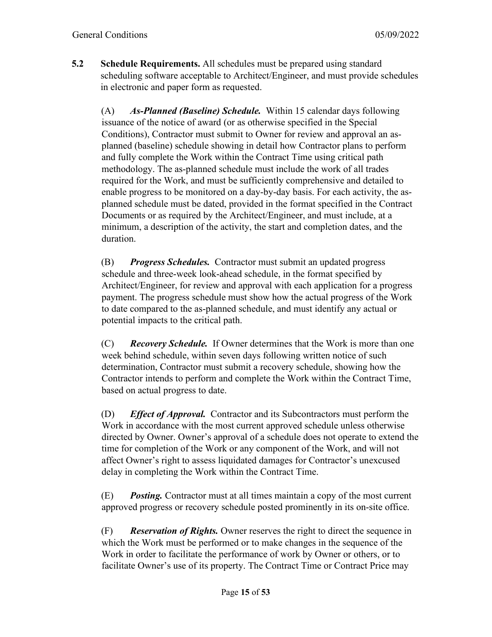**5.2 Schedule Requirements.** All schedules must be prepared using standard scheduling software acceptable to Architect/Engineer, and must provide schedules in electronic and paper form as requested.

(A) *As-Planned (Baseline) Schedule.* Within 15 calendar days following issuance of the notice of award (or as otherwise specified in the Special Conditions), Contractor must submit to Owner for review and approval an asplanned (baseline) schedule showing in detail how Contractor plans to perform and fully complete the Work within the Contract Time using critical path methodology. The as-planned schedule must include the work of all trades required for the Work, and must be sufficiently comprehensive and detailed to enable progress to be monitored on a day-by-day basis. For each activity, the asplanned schedule must be dated, provided in the format specified in the Contract Documents or as required by the Architect/Engineer, and must include, at a minimum, a description of the activity, the start and completion dates, and the duration.

(B) *Progress Schedules.* Contractor must submit an updated progress schedule and three-week look-ahead schedule, in the format specified by Architect/Engineer, for review and approval with each application for a progress payment. The progress schedule must show how the actual progress of the Work to date compared to the as-planned schedule, and must identify any actual or potential impacts to the critical path.

(C) *Recovery Schedule.* If Owner determines that the Work is more than one week behind schedule, within seven days following written notice of such determination, Contractor must submit a recovery schedule, showing how the Contractor intends to perform and complete the Work within the Contract Time, based on actual progress to date.

(D) *Effect of Approval.* Contractor and its Subcontractors must perform the Work in accordance with the most current approved schedule unless otherwise directed by Owner. Owner's approval of a schedule does not operate to extend the time for completion of the Work or any component of the Work, and will not affect Owner's right to assess liquidated damages for Contractor's unexcused delay in completing the Work within the Contract Time.

(E) *Posting.* Contractor must at all times maintain a copy of the most current approved progress or recovery schedule posted prominently in its on-site office.

(F) *Reservation of Rights.* Owner reserves the right to direct the sequence in which the Work must be performed or to make changes in the sequence of the Work in order to facilitate the performance of work by Owner or others, or to facilitate Owner's use of its property. The Contract Time or Contract Price may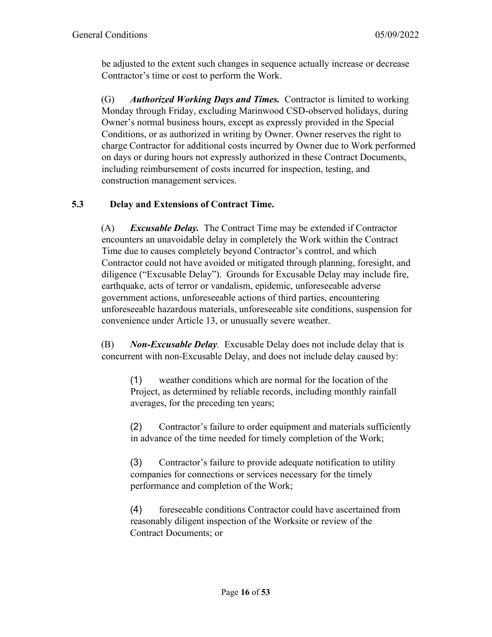be adjusted to the extent such changes in sequence actually increase or decrease Contractor's time or cost to perform the Work.

(G) *Authorized Working Days and Times.* Contractor is limited to working Monday through Friday, excluding Marinwood CSD-observed holidays, during Owner's normal business hours, except as expressly provided in the Special Conditions, or as authorized in writing by Owner. Owner reserves the right to charge Contractor for additional costs incurred by Owner due to Work performed on days or during hours not expressly authorized in these Contract Documents, including reimbursement of costs incurred for inspection, testing, and construction management services.

# **5.3 Delay and Extensions of Contract Time.**

(A) *Excusable Delay.* The Contract Time may be extended if Contractor encounters an unavoidable delay in completely the Work within the Contract Time due to causes completely beyond Contractor's control, and which Contractor could not have avoided or mitigated through planning, foresight, and diligence ("Excusable Delay"). Grounds for Excusable Delay may include fire, earthquake, acts of terror or vandalism, epidemic, unforeseeable adverse government actions, unforeseeable actions of third parties, encountering unforeseeable hazardous materials, unforeseeable site conditions, suspension for convenience under Article 13, or unusually severe weather.

(B) *Non-Excusable Delay.* Excusable Delay does not include delay that is concurrent with non-Excusable Delay, and does not include delay caused by:

(1) weather conditions which are normal for the location of the Project, as determined by reliable records, including monthly rainfall averages, for the preceding ten years;

(2) Contractor's failure to order equipment and materials sufficiently in advance of the time needed for timely completion of the Work;

(3) Contractor's failure to provide adequate notification to utility companies for connections or services necessary for the timely performance and completion of the Work;

(4) foreseeable conditions Contractor could have ascertained from reasonably diligent inspection of the Worksite or review of the Contract Documents; or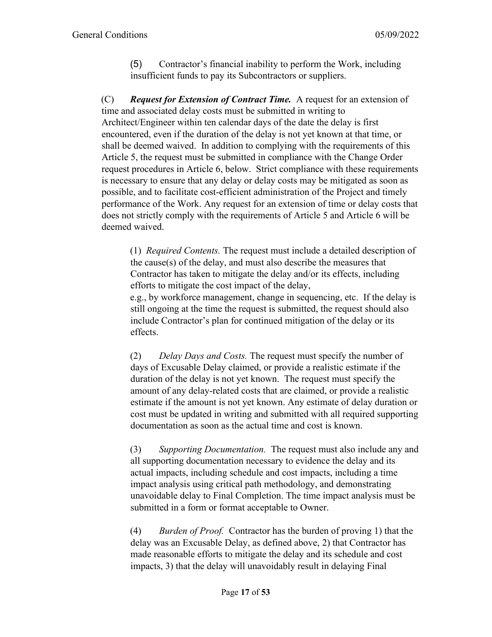(5) Contractor's financial inability to perform the Work, including insufficient funds to pay its Subcontractors or suppliers.

(C) *Request for Extension of Contract Time.* A request for an extension of time and associated delay costs must be submitted in writing to Architect/Engineer within ten calendar days of the date the delay is first encountered, even if the duration of the delay is not yet known at that time, or shall be deemed waived. In addition to complying with the requirements of this Article 5, the request must be submitted in compliance with the Change Order request procedures in Article 6, below. Strict compliance with these requirements is necessary to ensure that any delay or delay costs may be mitigated as soon as possible, and to facilitate cost-efficient administration of the Project and timely performance of the Work. Any request for an extension of time or delay costs that does not strictly comply with the requirements of Article 5 and Article 6 will be deemed waived.

(1) *Required Contents.* The request must include a detailed description of the cause(s) of the delay, and must also describe the measures that Contractor has taken to mitigate the delay and/or its effects, including efforts to mitigate the cost impact of the delay,

e.g., by workforce management, change in sequencing, etc. If the delay is still ongoing at the time the request is submitted, the request should also include Contractor's plan for continued mitigation of the delay or its effects.

(2) *Delay Days and Costs.* The request must specify the number of days of Excusable Delay claimed, or provide a realistic estimate if the duration of the delay is not yet known. The request must specify the amount of any delay-related costs that are claimed, or provide a realistic estimate if the amount is not yet known. Any estimate of delay duration or cost must be updated in writing and submitted with all required supporting documentation as soon as the actual time and cost is known.

(3) *Supporting Documentation.* The request must also include any and all supporting documentation necessary to evidence the delay and its actual impacts, including schedule and cost impacts, including a time impact analysis using critical path methodology, and demonstrating unavoidable delay to Final Completion. The time impact analysis must be submitted in a form or format acceptable to Owner.

(4) *Burden of Proof.* Contractor has the burden of proving 1) that the delay was an Excusable Delay, as defined above, 2) that Contractor has made reasonable efforts to mitigate the delay and its schedule and cost impacts, 3) that the delay will unavoidably result in delaying Final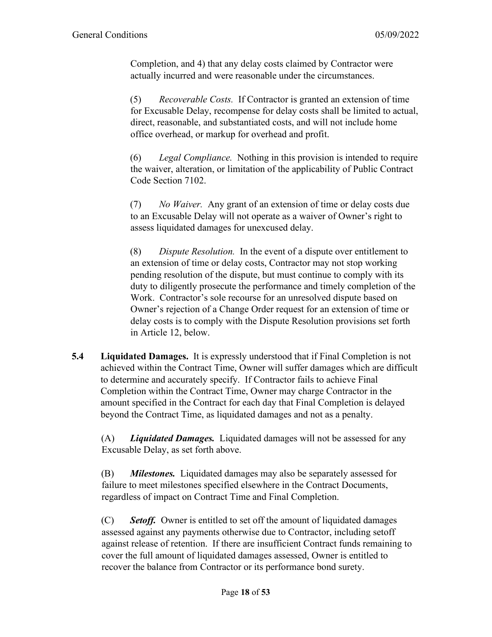Completion, and 4) that any delay costs claimed by Contractor were actually incurred and were reasonable under the circumstances.

(5) *Recoverable Costs.* If Contractor is granted an extension of time for Excusable Delay, recompense for delay costs shall be limited to actual, direct, reasonable, and substantiated costs, and will not include home office overhead, or markup for overhead and profit.

(6) *Legal Compliance.* Nothing in this provision is intended to require the waiver, alteration, or limitation of the applicability of Public Contract Code Section 7102.

(7) *No Waiver.* Any grant of an extension of time or delay costs due to an Excusable Delay will not operate as a waiver of Owner's right to assess liquidated damages for unexcused delay.

(8) *Dispute Resolution.* In the event of a dispute over entitlement to an extension of time or delay costs, Contractor may not stop working pending resolution of the dispute, but must continue to comply with its duty to diligently prosecute the performance and timely completion of the Work. Contractor's sole recourse for an unresolved dispute based on Owner's rejection of a Change Order request for an extension of time or delay costs is to comply with the Dispute Resolution provisions set forth in Article 12, below.

**5.4 Liquidated Damages.** It is expressly understood that if Final Completion is not achieved within the Contract Time, Owner will suffer damages which are difficult to determine and accurately specify. If Contractor fails to achieve Final Completion within the Contract Time, Owner may charge Contractor in the amount specified in the Contract for each day that Final Completion is delayed beyond the Contract Time, as liquidated damages and not as a penalty.

(A) *Liquidated Damages.* Liquidated damages will not be assessed for any Excusable Delay, as set forth above.

(B) *Milestones.* Liquidated damages may also be separately assessed for failure to meet milestones specified elsewhere in the Contract Documents, regardless of impact on Contract Time and Final Completion.

(C) *Setoff.* Owner is entitled to set off the amount of liquidated damages assessed against any payments otherwise due to Contractor, including setoff against release of retention. If there are insufficient Contract funds remaining to cover the full amount of liquidated damages assessed, Owner is entitled to recover the balance from Contractor or its performance bond surety.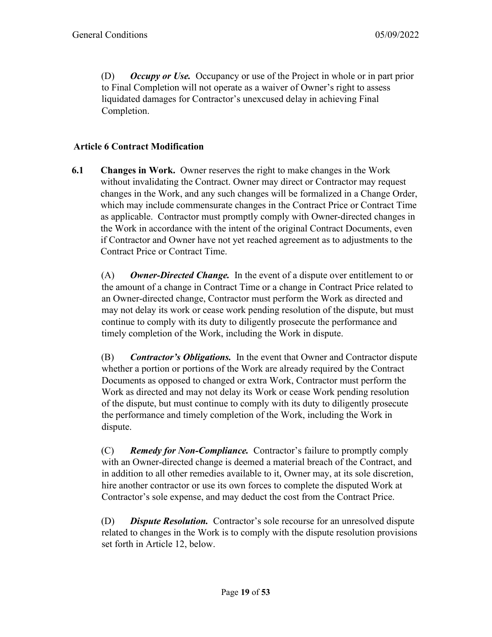(D) *Occupy or Use.* Occupancy or use of the Project in whole or in part prior to Final Completion will not operate as a waiver of Owner's right to assess liquidated damages for Contractor's unexcused delay in achieving Final Completion.

### **Article 6 Contract Modification**

**6.1 Changes in Work.** Owner reserves the right to make changes in the Work without invalidating the Contract. Owner may direct or Contractor may request changes in the Work, and any such changes will be formalized in a Change Order, which may include commensurate changes in the Contract Price or Contract Time as applicable. Contractor must promptly comply with Owner-directed changes in the Work in accordance with the intent of the original Contract Documents, even if Contractor and Owner have not yet reached agreement as to adjustments to the Contract Price or Contract Time.

(A) *Owner-Directed Change.* In the event of a dispute over entitlement to or the amount of a change in Contract Time or a change in Contract Price related to an Owner-directed change, Contractor must perform the Work as directed and may not delay its work or cease work pending resolution of the dispute, but must continue to comply with its duty to diligently prosecute the performance and timely completion of the Work, including the Work in dispute.

(B) *Contractor's Obligations.* In the event that Owner and Contractor dispute whether a portion or portions of the Work are already required by the Contract Documents as opposed to changed or extra Work, Contractor must perform the Work as directed and may not delay its Work or cease Work pending resolution of the dispute, but must continue to comply with its duty to diligently prosecute the performance and timely completion of the Work, including the Work in dispute.

(C) *Remedy for Non-Compliance.* Contractor's failure to promptly comply with an Owner-directed change is deemed a material breach of the Contract, and in addition to all other remedies available to it, Owner may, at its sole discretion, hire another contractor or use its own forces to complete the disputed Work at Contractor's sole expense, and may deduct the cost from the Contract Price.

(D) *Dispute Resolution.* Contractor's sole recourse for an unresolved dispute related to changes in the Work is to comply with the dispute resolution provisions set forth in Article 12, below.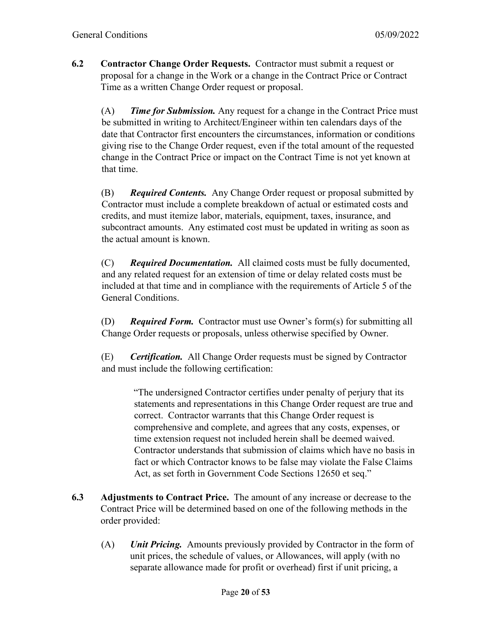**6.2 Contractor Change Order Requests.** Contractor must submit a request or proposal for a change in the Work or a change in the Contract Price or Contract Time as a written Change Order request or proposal.

(A) *Time for Submission.* Any request for a change in the Contract Price must be submitted in writing to Architect/Engineer within ten calendars days of the date that Contractor first encounters the circumstances, information or conditions giving rise to the Change Order request, even if the total amount of the requested change in the Contract Price or impact on the Contract Time is not yet known at that time.

(B) *Required Contents.* Any Change Order request or proposal submitted by Contractor must include a complete breakdown of actual or estimated costs and credits, and must itemize labor, materials, equipment, taxes, insurance, and subcontract amounts. Any estimated cost must be updated in writing as soon as the actual amount is known.

(C) *Required Documentation.* All claimed costs must be fully documented, and any related request for an extension of time or delay related costs must be included at that time and in compliance with the requirements of Article 5 of the General Conditions.

(D) *Required Form.* Contractor must use Owner's form(s) for submitting all Change Order requests or proposals, unless otherwise specified by Owner.

(E) *Certification.* All Change Order requests must be signed by Contractor and must include the following certification:

> "The undersigned Contractor certifies under penalty of perjury that its statements and representations in this Change Order request are true and correct. Contractor warrants that this Change Order request is comprehensive and complete, and agrees that any costs, expenses, or time extension request not included herein shall be deemed waived. Contractor understands that submission of claims which have no basis in fact or which Contractor knows to be false may violate the False Claims Act, as set forth in Government Code Sections 12650 et seq."

- **6.3 Adjustments to Contract Price.** The amount of any increase or decrease to the Contract Price will be determined based on one of the following methods in the order provided:
	- (A) *Unit Pricing.* Amounts previously provided by Contractor in the form of unit prices, the schedule of values, or Allowances, will apply (with no separate allowance made for profit or overhead) first if unit pricing, a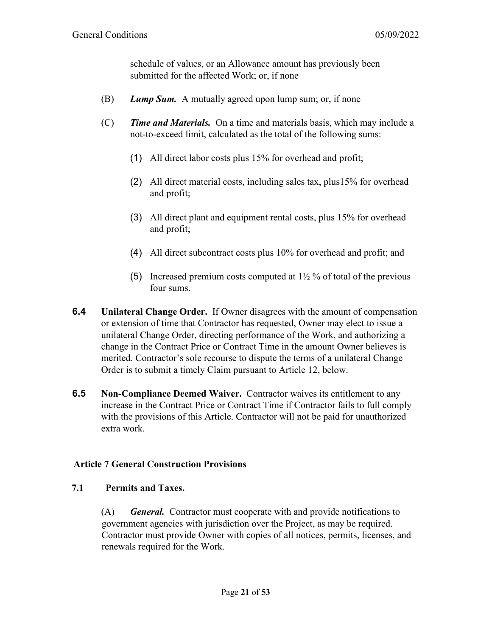schedule of values, or an Allowance amount has previously been submitted for the affected Work; or, if none

- (B) *Lump Sum.* A mutually agreed upon lump sum; or, if none
- (C) *Time and Materials.* On a time and materials basis, which may include a not-to-exceed limit, calculated as the total of the following sums:
	- (1) All direct labor costs plus 15% for overhead and profit;
	- (2) All direct material costs, including sales tax, plus15% for overhead and profit;
	- (3) All direct plant and equipment rental costs, plus 15% for overhead and profit;
	- (4) All direct subcontract costs plus 10% for overhead and profit; and
	- (5) Increased premium costs computed at  $1\frac{1}{2}$  % of total of the previous four sums.
- **6.4 Unilateral Change Order.**If Owner disagrees with the amount of compensation or extension of time that Contractor has requested, Owner may elect to issue a unilateral Change Order, directing performance of the Work, and authorizing a change in the Contract Price or Contract Time in the amount Owner believes is merited. Contractor's sole recourse to dispute the terms of a unilateral Change Order is to submit a timely Claim pursuant to Article 12, below.
- **6.5 Non-Compliance Deemed Waiver.** Contractor waives its entitlement to any increase in the Contract Price or Contract Time if Contractor fails to full comply with the provisions of this Article. Contractor will not be paid for unauthorized extra work.

#### **Article 7 General Construction Provisions**

#### **7.1 Permits and Taxes.**

(A) *General.* Contractor must cooperate with and provide notifications to government agencies with jurisdiction over the Project, as may be required. Contractor must provide Owner with copies of all notices, permits, licenses, and renewals required for the Work.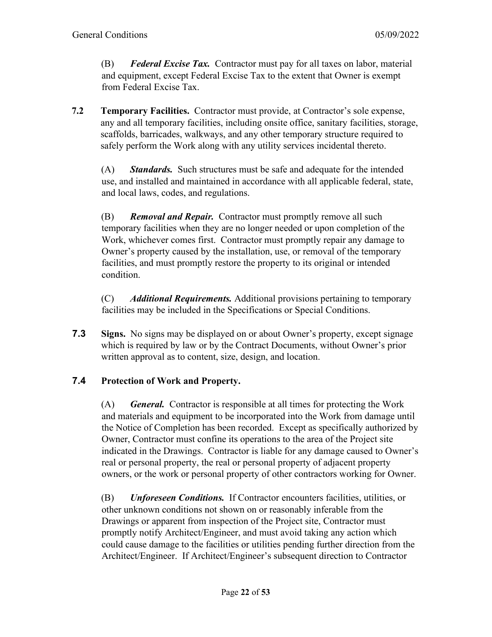(B) *Federal Excise Tax.* Contractor must pay for all taxes on labor, material and equipment, except Federal Excise Tax to the extent that Owner is exempt from Federal Excise Tax.

**7.2 Temporary Facilities.** Contractor must provide, at Contractor's sole expense, any and all temporary facilities, including onsite office, sanitary facilities, storage, scaffolds, barricades, walkways, and any other temporary structure required to safely perform the Work along with any utility services incidental thereto.

(A) **Standards.** Such structures must be safe and adequate for the intended use, and installed and maintained in accordance with all applicable federal, state, and local laws, codes, and regulations.

(B) *Removal and Repair.* Contractor must promptly remove all such temporary facilities when they are no longer needed or upon completion of the Work, whichever comes first. Contractor must promptly repair any damage to Owner's property caused by the installation, use, or removal of the temporary facilities, and must promptly restore the property to its original or intended condition.

(C) *Additional Requirements.* Additional provisions pertaining to temporary facilities may be included in the Specifications or Special Conditions.

**7.3 Signs.** No signs may be displayed on or about Owner's property, except signage which is required by law or by the Contract Documents, without Owner's prior written approval as to content, size, design, and location.

# **7.4 Protection of Work and Property.**

(A) *General.* Contractor is responsible at all times for protecting the Work and materials and equipment to be incorporated into the Work from damage until the Notice of Completion has been recorded. Except as specifically authorized by Owner, Contractor must confine its operations to the area of the Project site indicated in the Drawings. Contractor is liable for any damage caused to Owner's real or personal property, the real or personal property of adjacent property owners, or the work or personal property of other contractors working for Owner.

(B) *Unforeseen Conditions.* If Contractor encounters facilities, utilities, or other unknown conditions not shown on or reasonably inferable from the Drawings or apparent from inspection of the Project site, Contractor must promptly notify Architect/Engineer, and must avoid taking any action which could cause damage to the facilities or utilities pending further direction from the Architect/Engineer. If Architect/Engineer's subsequent direction to Contractor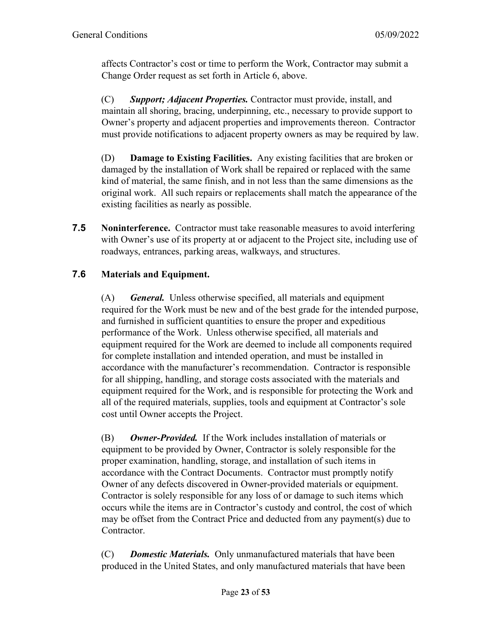affects Contractor's cost or time to perform the Work, Contractor may submit a Change Order request as set forth in Article 6, above.

(C) *Support; Adjacent Properties.* Contractor must provide, install, and maintain all shoring, bracing, underpinning, etc., necessary to provide support to Owner's property and adjacent properties and improvements thereon. Contractor must provide notifications to adjacent property owners as may be required by law.

(D) **Damage to Existing Facilities.** Any existing facilities that are broken or damaged by the installation of Work shall be repaired or replaced with the same kind of material, the same finish, and in not less than the same dimensions as the original work. All such repairs or replacements shall match the appearance of the existing facilities as nearly as possible.

**7.5 Noninterference.** Contractor must take reasonable measures to avoid interfering with Owner's use of its property at or adjacent to the Project site, including use of roadways, entrances, parking areas, walkways, and structures.

# **7.6 Materials and Equipment.**

(A) *General.* Unless otherwise specified, all materials and equipment required for the Work must be new and of the best grade for the intended purpose, and furnished in sufficient quantities to ensure the proper and expeditious performance of the Work. Unless otherwise specified, all materials and equipment required for the Work are deemed to include all components required for complete installation and intended operation, and must be installed in accordance with the manufacturer's recommendation. Contractor is responsible for all shipping, handling, and storage costs associated with the materials and equipment required for the Work, and is responsible for protecting the Work and all of the required materials, supplies, tools and equipment at Contractor's sole cost until Owner accepts the Project.

(B) *Owner-Provided.* If the Work includes installation of materials or equipment to be provided by Owner, Contractor is solely responsible for the proper examination, handling, storage, and installation of such items in accordance with the Contract Documents. Contractor must promptly notify Owner of any defects discovered in Owner-provided materials or equipment. Contractor is solely responsible for any loss of or damage to such items which occurs while the items are in Contractor's custody and control, the cost of which may be offset from the Contract Price and deducted from any payment(s) due to Contractor.

(C) *Domestic Materials.*Only unmanufactured materials that have been produced in the United States, and only manufactured materials that have been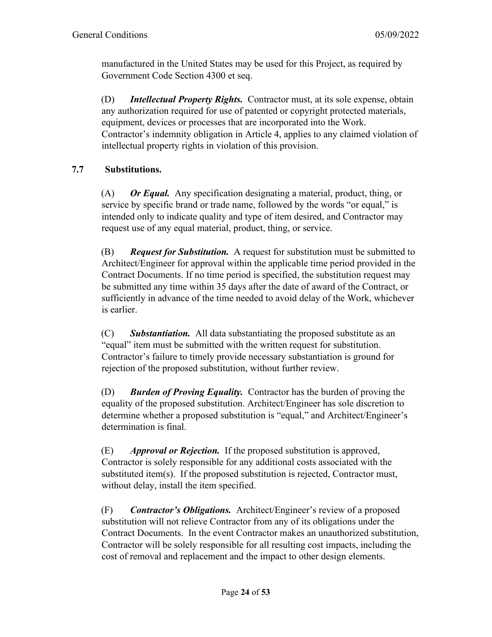manufactured in the United States may be used for this Project, as required by Government Code Section 4300 et seq.

(D) *Intellectual Property Rights.* Contractor must, at its sole expense, obtain any authorization required for use of patented or copyright protected materials, equipment, devices or processes that are incorporated into the Work. Contractor's indemnity obligation in Article 4, applies to any claimed violation of intellectual property rights in violation of this provision.

# **7.7 Substitutions.**

(A) *Or Equal.* Any specification designating a material, product, thing, or service by specific brand or trade name, followed by the words "or equal," is intended only to indicate quality and type of item desired, and Contractor may request use of any equal material, product, thing, or service.

(B) *Request for Substitution.* A request for substitution must be submitted to Architect/Engineer for approval within the applicable time period provided in the Contract Documents. If no time period is specified, the substitution request may be submitted any time within 35 days after the date of award of the Contract, or sufficiently in advance of the time needed to avoid delay of the Work, whichever is earlier.

(C) *Substantiation.* All data substantiating the proposed substitute as an "equal" item must be submitted with the written request for substitution. Contractor's failure to timely provide necessary substantiation is ground for rejection of the proposed substitution, without further review.

(D) *Burden of Proving Equality.* Contractor has the burden of proving the equality of the proposed substitution. Architect/Engineer has sole discretion to determine whether a proposed substitution is "equal," and Architect/Engineer's determination is final.

(E) *Approval or Rejection.* If the proposed substitution is approved, Contractor is solely responsible for any additional costs associated with the substituted item(s). If the proposed substitution is rejected, Contractor must, without delay, install the item specified.

(F) *Contractor's Obligations.* Architect/Engineer's review of a proposed substitution will not relieve Contractor from any of its obligations under the Contract Documents. In the event Contractor makes an unauthorized substitution, Contractor will be solely responsible for all resulting cost impacts, including the cost of removal and replacement and the impact to other design elements.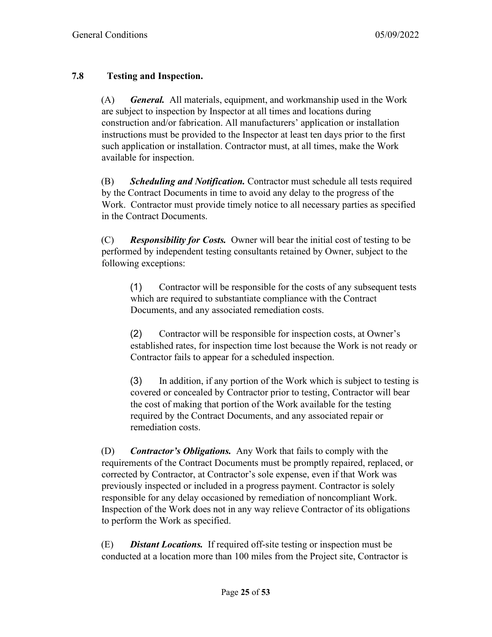### **7.8 Testing and Inspection.**

(A) *General.* All materials, equipment, and workmanship used in the Work are subject to inspection by Inspector at all times and locations during construction and/or fabrication. All manufacturers' application or installation instructions must be provided to the Inspector at least ten days prior to the first such application or installation. Contractor must, at all times, make the Work available for inspection.

(B) *Scheduling and Notification.* Contractor must schedule all tests required by the Contract Documents in time to avoid any delay to the progress of the Work. Contractor must provide timely notice to all necessary parties as specified in the Contract Documents.

(C) *Responsibility for Costs.* Owner will bear the initial cost of testing to be performed by independent testing consultants retained by Owner, subject to the following exceptions:

(1) Contractor will be responsible for the costs of any subsequent tests which are required to substantiate compliance with the Contract Documents, and any associated remediation costs.

(2) Contractor will be responsible for inspection costs, at Owner's established rates, for inspection time lost because the Work is not ready or Contractor fails to appear for a scheduled inspection.

(3) In addition, if any portion of the Work which is subject to testing is covered or concealed by Contractor prior to testing, Contractor will bear the cost of making that portion of the Work available for the testing required by the Contract Documents, and any associated repair or remediation costs.

(D) *Contractor's Obligations.* Any Work that fails to comply with the requirements of the Contract Documents must be promptly repaired, replaced, or corrected by Contractor, at Contractor's sole expense, even if that Work was previously inspected or included in a progress payment. Contractor is solely responsible for any delay occasioned by remediation of noncompliant Work. Inspection of the Work does not in any way relieve Contractor of its obligations to perform the Work as specified.

(E) *Distant Locations.* If required off-site testing or inspection must be conducted at a location more than 100 miles from the Project site, Contractor is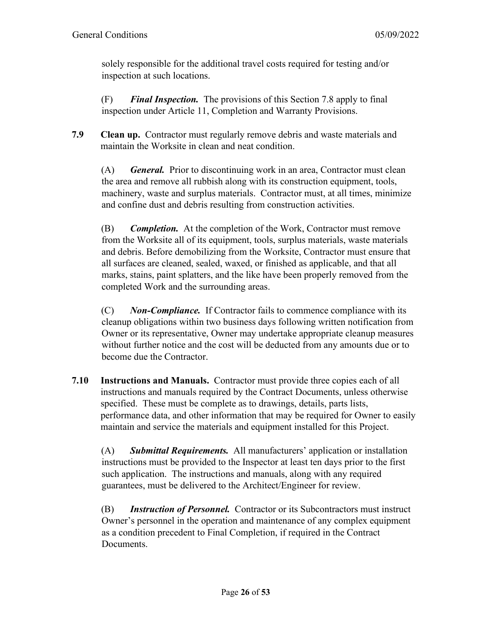solely responsible for the additional travel costs required for testing and/or inspection at such locations.

(F) *Final Inspection.* The provisions of this Section 7.8 apply to final inspection under Article 11, Completion and Warranty Provisions.

**7.9 Clean up.** Contractor must regularly remove debris and waste materials and maintain the Worksite in clean and neat condition.

(A) *General.* Prior to discontinuing work in an area, Contractor must clean the area and remove all rubbish along with its construction equipment, tools, machinery, waste and surplus materials. Contractor must, at all times, minimize and confine dust and debris resulting from construction activities.

(B) *Completion.* At the completion of the Work, Contractor must remove from the Worksite all of its equipment, tools, surplus materials, waste materials and debris. Before demobilizing from the Worksite, Contractor must ensure that all surfaces are cleaned, sealed, waxed, or finished as applicable, and that all marks, stains, paint splatters, and the like have been properly removed from the completed Work and the surrounding areas.

(C) *Non-Compliance.* If Contractor fails to commence compliance with its cleanup obligations within two business days following written notification from Owner or its representative, Owner may undertake appropriate cleanup measures without further notice and the cost will be deducted from any amounts due or to become due the Contractor.

**7.10 Instructions and Manuals.** Contractor must provide three copies each of all instructions and manuals required by the Contract Documents, unless otherwise specified. These must be complete as to drawings, details, parts lists, performance data, and other information that may be required for Owner to easily maintain and service the materials and equipment installed for this Project.

(A) *Submittal Requirements.* All manufacturers' application or installation instructions must be provided to the Inspector at least ten days prior to the first such application. The instructions and manuals, along with any required guarantees, must be delivered to the Architect/Engineer for review.

(B) *Instruction of Personnel.* Contractor or its Subcontractors must instruct Owner's personnel in the operation and maintenance of any complex equipment as a condition precedent to Final Completion, if required in the Contract Documents.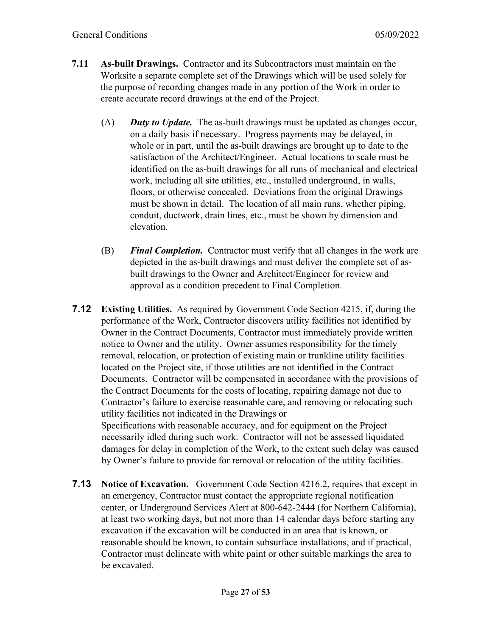- **7.11 As-built Drawings.** Contractor and its Subcontractors must maintain on the Worksite a separate complete set of the Drawings which will be used solely for the purpose of recording changes made in any portion of the Work in order to create accurate record drawings at the end of the Project.
	- (A) *Duty to Update.* The as-built drawings must be updated as changes occur, on a daily basis if necessary. Progress payments may be delayed, in whole or in part, until the as-built drawings are brought up to date to the satisfaction of the Architect/Engineer. Actual locations to scale must be identified on the as-built drawings for all runs of mechanical and electrical work, including all site utilities, etc., installed underground, in walls, floors, or otherwise concealed. Deviations from the original Drawings must be shown in detail. The location of all main runs, whether piping, conduit, ductwork, drain lines, etc., must be shown by dimension and elevation.
	- (B) *Final Completion.* Contractor must verify that all changes in the work are depicted in the as-built drawings and must deliver the complete set of asbuilt drawings to the Owner and Architect/Engineer for review and approval as a condition precedent to Final Completion.
- **7.12 Existing Utilities.** As required by Government Code Section 4215, if, during the performance of the Work, Contractor discovers utility facilities not identified by Owner in the Contract Documents, Contractor must immediately provide written notice to Owner and the utility. Owner assumes responsibility for the timely removal, relocation, or protection of existing main or trunkline utility facilities located on the Project site, if those utilities are not identified in the Contract Documents. Contractor will be compensated in accordance with the provisions of the Contract Documents for the costs of locating, repairing damage not due to Contractor's failure to exercise reasonable care, and removing or relocating such utility facilities not indicated in the Drawings or Specifications with reasonable accuracy, and for equipment on the Project necessarily idled during such work. Contractor will not be assessed liquidated damages for delay in completion of the Work, to the extent such delay was caused by Owner's failure to provide for removal or relocation of the utility facilities.
- **7.13 Notice of Excavation.** Government Code Section 4216.2, requires that except in an emergency, Contractor must contact the appropriate regional notification center, or Underground Services Alert at 800-642-2444 (for Northern California), at least two working days, but not more than 14 calendar days before starting any excavation if the excavation will be conducted in an area that is known, or reasonable should be known, to contain subsurface installations, and if practical, Contractor must delineate with white paint or other suitable markings the area to be excavated.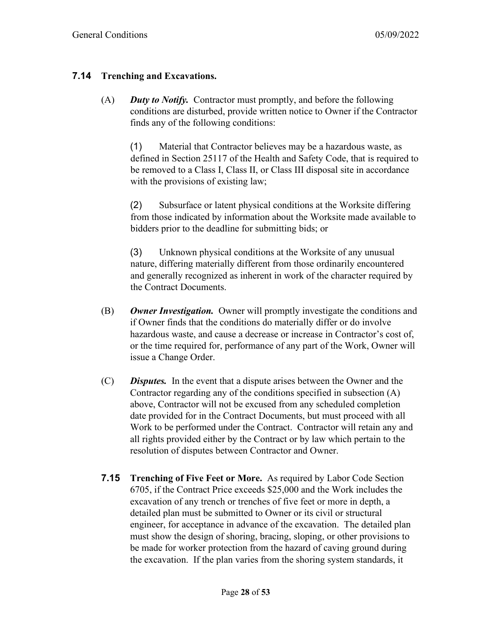### **7.14 Trenching and Excavations.**

(A) *Duty to Notify.* Contractor must promptly, and before the following conditions are disturbed, provide written notice to Owner if the Contractor finds any of the following conditions:

(1) Material that Contractor believes may be a hazardous waste, as defined in Section 25117 of the Health and Safety Code, that is required to be removed to a Class I, Class II, or Class III disposal site in accordance with the provisions of existing law;

(2) Subsurface or latent physical conditions at the Worksite differing from those indicated by information about the Worksite made available to bidders prior to the deadline for submitting bids; or

(3) Unknown physical conditions at the Worksite of any unusual nature, differing materially different from those ordinarily encountered and generally recognized as inherent in work of the character required by the Contract Documents.

- (B) *Owner Investigation.* Owner will promptly investigate the conditions and if Owner finds that the conditions do materially differ or do involve hazardous waste, and cause a decrease or increase in Contractor's cost of, or the time required for, performance of any part of the Work, Owner will issue a Change Order.
- (C) *Disputes.* In the event that a dispute arises between the Owner and the Contractor regarding any of the conditions specified in subsection (A) above, Contractor will not be excused from any scheduled completion date provided for in the Contract Documents, but must proceed with all Work to be performed under the Contract. Contractor will retain any and all rights provided either by the Contract or by law which pertain to the resolution of disputes between Contractor and Owner.
- **7.15 Trenching of Five Feet or More.** As required by Labor Code Section 6705, if the Contract Price exceeds \$25,000 and the Work includes the excavation of any trench or trenches of five feet or more in depth, a detailed plan must be submitted to Owner or its civil or structural engineer, for acceptance in advance of the excavation. The detailed plan must show the design of shoring, bracing, sloping, or other provisions to be made for worker protection from the hazard of caving ground during the excavation. If the plan varies from the shoring system standards, it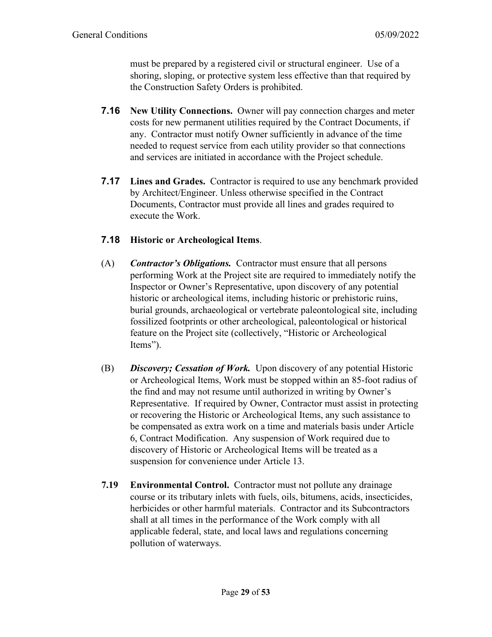must be prepared by a registered civil or structural engineer. Use of a shoring, sloping, or protective system less effective than that required by the Construction Safety Orders is prohibited.

- **7.16 New Utility Connections.** Owner will pay connection charges and meter costs for new permanent utilities required by the Contract Documents, if any. Contractor must notify Owner sufficiently in advance of the time needed to request service from each utility provider so that connections and services are initiated in accordance with the Project schedule.
- **7.17 Lines and Grades.** Contractor is required to use any benchmark provided by Architect/Engineer. Unless otherwise specified in the Contract Documents, Contractor must provide all lines and grades required to execute the Work.

# **7.18 Historic or Archeological Items**.

- (A) *Contractor's Obligations.* Contractor must ensure that all persons performing Work at the Project site are required to immediately notify the Inspector or Owner's Representative, upon discovery of any potential historic or archeological items, including historic or prehistoric ruins, burial grounds, archaeological or vertebrate paleontological site, including fossilized footprints or other archeological, paleontological or historical feature on the Project site (collectively, "Historic or Archeological Items").
- (B) *Discovery; Cessation of Work.* Upon discovery of any potential Historic or Archeological Items, Work must be stopped within an 85-foot radius of the find and may not resume until authorized in writing by Owner's Representative. If required by Owner, Contractor must assist in protecting or recovering the Historic or Archeological Items, any such assistance to be compensated as extra work on a time and materials basis under Article 6, Contract Modification. Any suspension of Work required due to discovery of Historic or Archeological Items will be treated as a suspension for convenience under Article 13.
- **7.19 Environmental Control.** Contractor must not pollute any drainage course or its tributary inlets with fuels, oils, bitumens, acids, insecticides, herbicides or other harmful materials. Contractor and its Subcontractors shall at all times in the performance of the Work comply with all applicable federal, state, and local laws and regulations concerning pollution of waterways.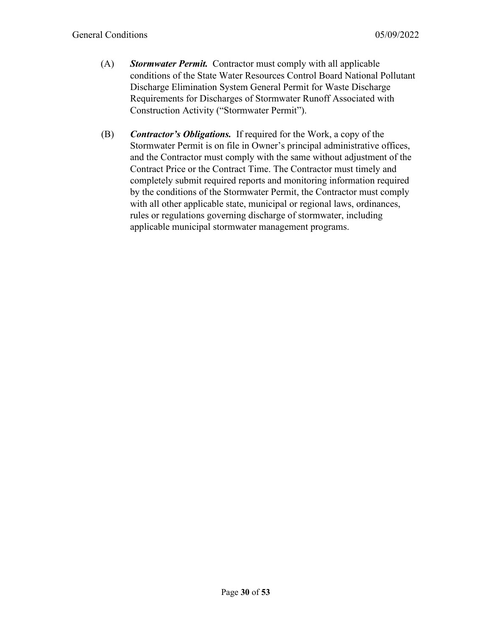- (A) *Stormwater Permit.* Contractor must comply with all applicable conditions of the State Water Resources Control Board National Pollutant Discharge Elimination System General Permit for Waste Discharge Requirements for Discharges of Stormwater Runoff Associated with Construction Activity ("Stormwater Permit").
- (B) *Contractor's Obligations.* If required for the Work, a copy of the Stormwater Permit is on file in Owner's principal administrative offices, and the Contractor must comply with the same without adjustment of the Contract Price or the Contract Time. The Contractor must timely and completely submit required reports and monitoring information required by the conditions of the Stormwater Permit, the Contractor must comply with all other applicable state, municipal or regional laws, ordinances, rules or regulations governing discharge of stormwater, including applicable municipal stormwater management programs.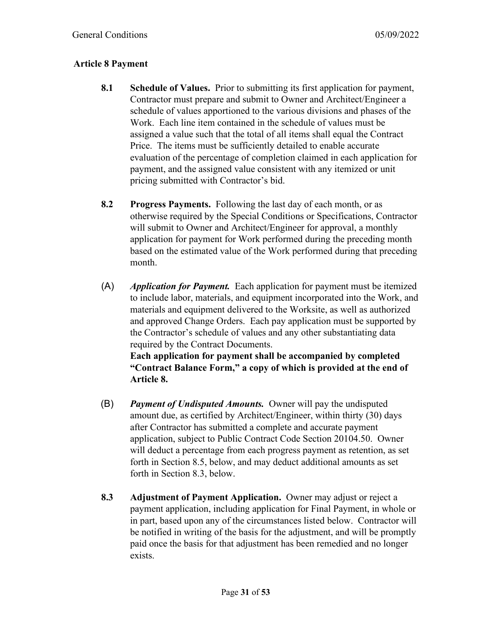# **Article 8 Payment**

- **8.1 Schedule of Values.** Prior to submitting its first application for payment, Contractor must prepare and submit to Owner and Architect/Engineer a schedule of values apportioned to the various divisions and phases of the Work. Each line item contained in the schedule of values must be assigned a value such that the total of all items shall equal the Contract Price. The items must be sufficiently detailed to enable accurate evaluation of the percentage of completion claimed in each application for payment, and the assigned value consistent with any itemized or unit pricing submitted with Contractor's bid.
- **8.2 Progress Payments.** Following the last day of each month, or as otherwise required by the Special Conditions or Specifications, Contractor will submit to Owner and Architect/Engineer for approval, a monthly application for payment for Work performed during the preceding month based on the estimated value of the Work performed during that preceding month.
- (A) *Application for Payment.* Each application for payment must be itemized to include labor, materials, and equipment incorporated into the Work, and materials and equipment delivered to the Worksite, as well as authorized and approved Change Orders. Each pay application must be supported by the Contractor's schedule of values and any other substantiating data required by the Contract Documents. **Each application for payment shall be accompanied by completed "Contract Balance Form," a copy of which is provided at the end of** 
	- **Article 8.**
- (B) *Payment of Undisputed Amounts.* Owner will pay the undisputed amount due, as certified by Architect/Engineer, within thirty (30) days after Contractor has submitted a complete and accurate payment application, subject to Public Contract Code Section 20104.50. Owner will deduct a percentage from each progress payment as retention, as set forth in Section 8.5, below, and may deduct additional amounts as set forth in Section 8.3, below.
- **8.3 Adjustment of Payment Application.** Owner may adjust or reject a payment application, including application for Final Payment, in whole or in part, based upon any of the circumstances listed below. Contractor will be notified in writing of the basis for the adjustment, and will be promptly paid once the basis for that adjustment has been remedied and no longer exists.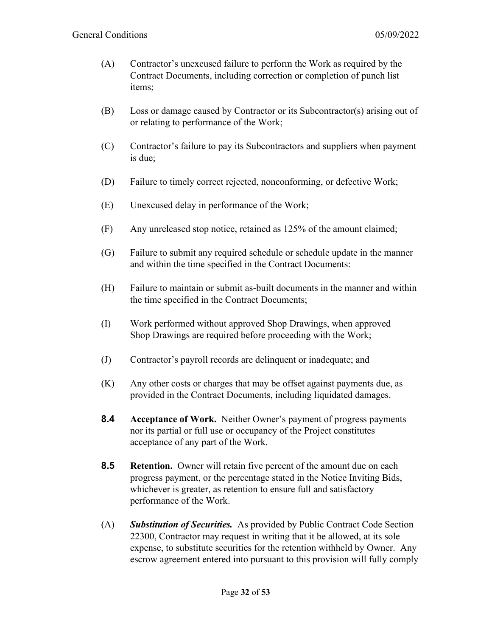- (A) Contractor's unexcused failure to perform the Work as required by the Contract Documents, including correction or completion of punch list items;
- (B) Loss or damage caused by Contractor or its Subcontractor(s) arising out of or relating to performance of the Work;
- (C) Contractor's failure to pay its Subcontractors and suppliers when payment is due;
- (D) Failure to timely correct rejected, nonconforming, or defective Work;
- (E) Unexcused delay in performance of the Work;
- (F) Any unreleased stop notice, retained as 125% of the amount claimed;
- (G) Failure to submit any required schedule or schedule update in the manner and within the time specified in the Contract Documents:
- (H) Failure to maintain or submit as-built documents in the manner and within the time specified in the Contract Documents;
- (I) Work performed without approved Shop Drawings, when approved Shop Drawings are required before proceeding with the Work;
- (J) Contractor's payroll records are delinquent or inadequate; and
- (K) Any other costs or charges that may be offset against payments due, as provided in the Contract Documents, including liquidated damages.
- **8.4 Acceptance of Work.** Neither Owner's payment of progress payments nor its partial or full use or occupancy of the Project constitutes acceptance of any part of the Work.
- **8.5 Retention.** Owner will retain five percent of the amount due on each progress payment, or the percentage stated in the Notice Inviting Bids, whichever is greater, as retention to ensure full and satisfactory performance of the Work.
- (A) *Substitution of Securities.* As provided by Public Contract Code Section 22300, Contractor may request in writing that it be allowed, at its sole expense, to substitute securities for the retention withheld by Owner. Any escrow agreement entered into pursuant to this provision will fully comply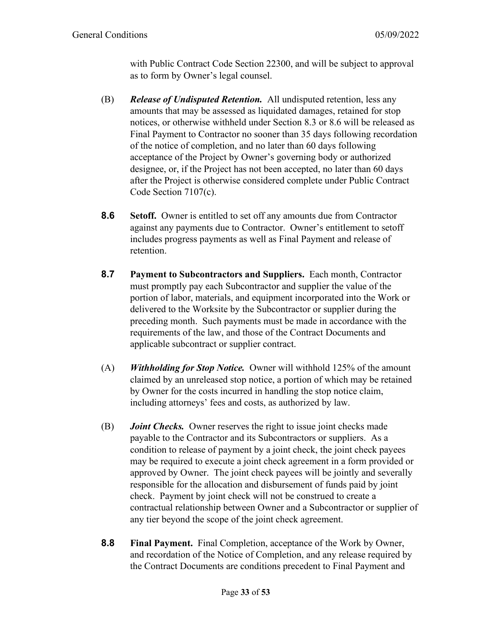with Public Contract Code Section 22300, and will be subject to approval as to form by Owner's legal counsel.

- (B) *Release of Undisputed Retention.* All undisputed retention, less any amounts that may be assessed as liquidated damages, retained for stop notices, or otherwise withheld under Section 8.3 or 8.6 will be released as Final Payment to Contractor no sooner than 35 days following recordation of the notice of completion, and no later than 60 days following acceptance of the Project by Owner's governing body or authorized designee, or, if the Project has not been accepted, no later than 60 days after the Project is otherwise considered complete under Public Contract Code Section 7107(c).
- **8.6 Setoff.** Owner is entitled to set off any amounts due from Contractor against any payments due to Contractor. Owner's entitlement to setoff includes progress payments as well as Final Payment and release of retention.
- **8.7 Payment to Subcontractors and Suppliers.** Each month, Contractor must promptly pay each Subcontractor and supplier the value of the portion of labor, materials, and equipment incorporated into the Work or delivered to the Worksite by the Subcontractor or supplier during the preceding month. Such payments must be made in accordance with the requirements of the law, and those of the Contract Documents and applicable subcontract or supplier contract.
- (A) *Withholding for Stop Notice.* Owner will withhold 125% of the amount claimed by an unreleased stop notice, a portion of which may be retained by Owner for the costs incurred in handling the stop notice claim, including attorneys' fees and costs, as authorized by law.
- (B) *Joint Checks.* Owner reserves the right to issue joint checks made payable to the Contractor and its Subcontractors or suppliers. As a condition to release of payment by a joint check, the joint check payees may be required to execute a joint check agreement in a form provided or approved by Owner. The joint check payees will be jointly and severally responsible for the allocation and disbursement of funds paid by joint check. Payment by joint check will not be construed to create a contractual relationship between Owner and a Subcontractor or supplier of any tier beyond the scope of the joint check agreement.
- **8.8 Final Payment.** Final Completion, acceptance of the Work by Owner, and recordation of the Notice of Completion, and any release required by the Contract Documents are conditions precedent to Final Payment and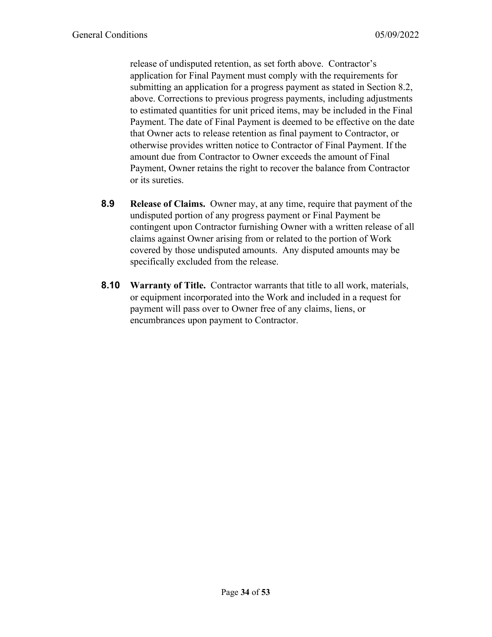release of undisputed retention, as set forth above. Contractor's application for Final Payment must comply with the requirements for submitting an application for a progress payment as stated in Section 8.2, above. Corrections to previous progress payments, including adjustments to estimated quantities for unit priced items, may be included in the Final Payment. The date of Final Payment is deemed to be effective on the date that Owner acts to release retention as final payment to Contractor, or otherwise provides written notice to Contractor of Final Payment. If the amount due from Contractor to Owner exceeds the amount of Final Payment, Owner retains the right to recover the balance from Contractor or its sureties.

- **8.9 Release of Claims.** Owner may, at any time, require that payment of the undisputed portion of any progress payment or Final Payment be contingent upon Contractor furnishing Owner with a written release of all claims against Owner arising from or related to the portion of Work covered by those undisputed amounts. Any disputed amounts may be specifically excluded from the release.
- **8.10 Warranty of Title.** Contractor warrants that title to all work, materials, or equipment incorporated into the Work and included in a request for payment will pass over to Owner free of any claims, liens, or encumbrances upon payment to Contractor.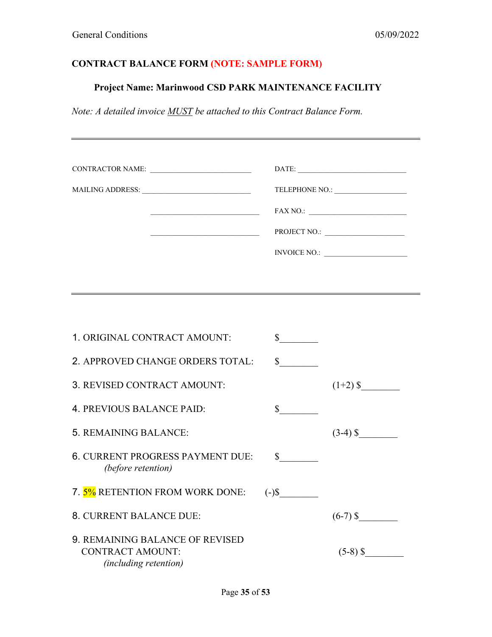# **CONTRACT BALANCE FORM (NOTE: SAMPLE FORM)**

# **Project Name: Marinwood CSD PARK MAINTENANCE FACILITY**

*Note: A detailed invoice MUST be attached to this Contract Balance Form.*

| CONTRACTOR NAME:                                                                    |                             |                                                                                                                                                                                                                                                                                                                                                                                                                                                                                                                                                                 |
|-------------------------------------------------------------------------------------|-----------------------------|-----------------------------------------------------------------------------------------------------------------------------------------------------------------------------------------------------------------------------------------------------------------------------------------------------------------------------------------------------------------------------------------------------------------------------------------------------------------------------------------------------------------------------------------------------------------|
|                                                                                     |                             |                                                                                                                                                                                                                                                                                                                                                                                                                                                                                                                                                                 |
|                                                                                     |                             | $\text{FAX NO.:}\n \underline{\hspace{2cm}}\n \underline{\hspace{2cm}}\n \underline{\hspace{2cm}}\n \underline{\hspace{2cm}}\n \underline{\hspace{2cm}}\n \underline{\hspace{2cm}}\n \underline{\hspace{2cm}}\n \underline{\hspace{2cm}}\n \underline{\hspace{2cm}}\n \underline{\hspace{2cm}}\n \underline{\hspace{2cm}}\n \underline{\hspace{2cm}}\n \underline{\hspace{2cm}}\n \underline{\hspace{2cm}}\n \underline{\hspace{2cm}}\n \underline{\hspace{2cm}}\n \underline{\hspace{2cm}}\n \underline{\hspace{2cm}}\n \underline{\hspace{2cm}}\n \underline$ |
| <u> 1989 - Johann Barbara, martxa alemaniar amerikan a</u>                          |                             |                                                                                                                                                                                                                                                                                                                                                                                                                                                                                                                                                                 |
|                                                                                     |                             |                                                                                                                                                                                                                                                                                                                                                                                                                                                                                                                                                                 |
|                                                                                     |                             |                                                                                                                                                                                                                                                                                                                                                                                                                                                                                                                                                                 |
|                                                                                     |                             |                                                                                                                                                                                                                                                                                                                                                                                                                                                                                                                                                                 |
|                                                                                     |                             |                                                                                                                                                                                                                                                                                                                                                                                                                                                                                                                                                                 |
| 1. ORIGINAL CONTRACT AMOUNT:                                                        | $\frac{\text{S}}{\text{S}}$ |                                                                                                                                                                                                                                                                                                                                                                                                                                                                                                                                                                 |
| 2. APPROVED CHANGE ORDERS TOTAL:                                                    | $\mathbb{S}$                |                                                                                                                                                                                                                                                                                                                                                                                                                                                                                                                                                                 |
| 3. REVISED CONTRACT AMOUNT:                                                         |                             |                                                                                                                                                                                                                                                                                                                                                                                                                                                                                                                                                                 |
| 4. PREVIOUS BALANCE PAID:                                                           | $\mathbb{S}$                |                                                                                                                                                                                                                                                                                                                                                                                                                                                                                                                                                                 |
| 5. REMAINING BALANCE:                                                               |                             | $(3-4)$ \$                                                                                                                                                                                                                                                                                                                                                                                                                                                                                                                                                      |
| <b>6. CURRENT PROGRESS PAYMENT DUE:</b><br>(before retention)                       | $\frac{\text{S}}{\text{S}}$ |                                                                                                                                                                                                                                                                                                                                                                                                                                                                                                                                                                 |
| 7. 5% RETENTION FROM WORK DONE:                                                     | $(-)$ \$                    |                                                                                                                                                                                                                                                                                                                                                                                                                                                                                                                                                                 |
| 8. CURRENT BALANCE DUE:                                                             |                             | $(6-7)$ \$                                                                                                                                                                                                                                                                                                                                                                                                                                                                                                                                                      |
| 9. REMAINING BALANCE OF REVISED<br><b>CONTRACT AMOUNT:</b><br>(including retention) |                             | $(5-8)$ \$                                                                                                                                                                                                                                                                                                                                                                                                                                                                                                                                                      |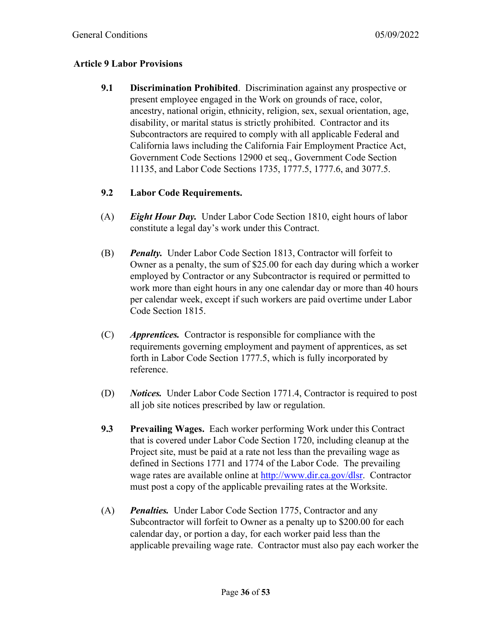#### **Article 9 Labor Provisions**

**9.1 Discrimination Prohibited**. Discrimination against any prospective or present employee engaged in the Work on grounds of race, color, ancestry, national origin, ethnicity, religion, sex, sexual orientation, age, disability, or marital status is strictly prohibited. Contractor and its Subcontractors are required to comply with all applicable Federal and California laws including the California Fair Employment Practice Act, Government Code Sections 12900 et seq., Government Code Section 11135, and Labor Code Sections 1735, 1777.5, 1777.6, and 3077.5.

#### **9.2 Labor Code Requirements.**

- (A) *Eight Hour Day.* Under Labor Code Section 1810, eight hours of labor constitute a legal day's work under this Contract.
- (B) *Penalty.* Under Labor Code Section 1813, Contractor will forfeit to Owner as a penalty, the sum of \$25.00 for each day during which a worker employed by Contractor or any Subcontractor is required or permitted to work more than eight hours in any one calendar day or more than 40 hours per calendar week, except if such workers are paid overtime under Labor Code Section 1815.
- (C) *Apprentices.* Contractor is responsible for compliance with the requirements governing employment and payment of apprentices, as set forth in Labor Code Section 1777.5, which is fully incorporated by reference.
- (D) *Notices.* Under Labor Code Section 1771.4, Contractor is required to post all job site notices prescribed by law or regulation.
- **9.3 Prevailing Wages.** Each worker performing Work under this Contract that is covered under Labor Code Section 1720, including cleanup at the Project site, must be paid at a rate not less than the prevailing wage as defined in Sections 1771 and 1774 of the Labor Code. The prevailing wage rates are available online at [http://www.dir.ca.gov/dlsr.](http://www.dir.ca.gov/dlsr) Contractor must post a copy of the applicable prevailing rates at the Worksite.
- (A) *Penalties.* Under Labor Code Section 1775, Contractor and any Subcontractor will forfeit to Owner as a penalty up to \$200.00 for each calendar day, or portion a day, for each worker paid less than the applicable prevailing wage rate. Contractor must also pay each worker the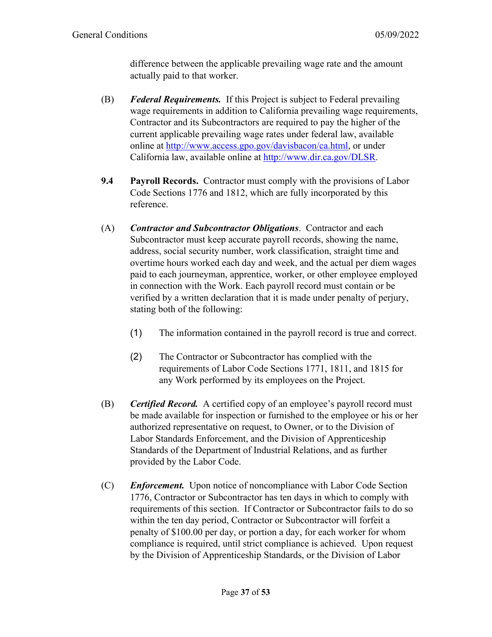difference between the applicable prevailing wage rate and the amount actually paid to that worker.

- (B) *Federal Requirements.* If this Project is subject to Federal prevailing wage requirements in addition to California prevailing wage requirements, Contractor and its Subcontractors are required to pay the higher of the current applicable prevailing wage rates under federal law, available online at [http://www.access.gpo.gov/davisbacon/ca.html,](http://www.access.gpo.gov/davisbacon/ca.html) or under California law, available online at [http://www.dir.ca.gov/DLSR.](http://www.dir.ca.gov/DLSR)
- **9.4 Payroll Records.** Contractor must comply with the provisions of Labor Code Sections 1776 and 1812, which are fully incorporated by this reference.
- (A) *Contractor and Subcontractor Obligations*. Contractor and each Subcontractor must keep accurate payroll records, showing the name, address, social security number, work classification, straight time and overtime hours worked each day and week, and the actual per diem wages paid to each journeyman, apprentice, worker, or other employee employed in connection with the Work. Each payroll record must contain or be verified by a written declaration that it is made under penalty of perjury, stating both of the following:
	- (1) The information contained in the payroll record is true and correct.
	- (2) The Contractor or Subcontractor has complied with the requirements of Labor Code Sections 1771, 1811, and 1815 for any Work performed by its employees on the Project.
- (B) *Certified Record.* A certified copy of an employee's payroll record must be made available for inspection or furnished to the employee or his or her authorized representative on request, to Owner, or to the Division of Labor Standards Enforcement, and the Division of Apprenticeship Standards of the Department of Industrial Relations, and as further provided by the Labor Code.
- (C) *Enforcement.* Upon notice of noncompliance with Labor Code Section 1776, Contractor or Subcontractor has ten days in which to comply with requirements of this section. If Contractor or Subcontractor fails to do so within the ten day period, Contractor or Subcontractor will forfeit a penalty of \$100.00 per day, or portion a day, for each worker for whom compliance is required, until strict compliance is achieved. Upon request by the Division of Apprenticeship Standards, or the Division of Labor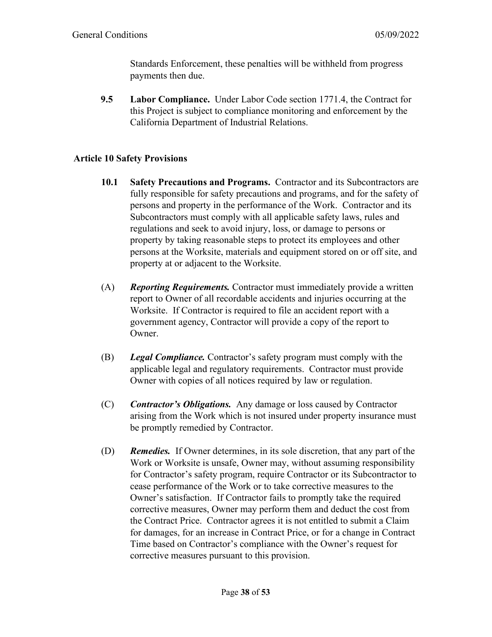Standards Enforcement, these penalties will be withheld from progress payments then due.

**9.5 Labor Compliance.** Under Labor Code section 1771.4, the Contract for this Project is subject to compliance monitoring and enforcement by the California Department of Industrial Relations.

### **Article 10 Safety Provisions**

- **10.1 Safety Precautions and Programs.** Contractor and its Subcontractors are fully responsible for safety precautions and programs, and for the safety of persons and property in the performance of the Work. Contractor and its Subcontractors must comply with all applicable safety laws, rules and regulations and seek to avoid injury, loss, or damage to persons or property by taking reasonable steps to protect its employees and other persons at the Worksite, materials and equipment stored on or off site, and property at or adjacent to the Worksite.
- (A) *Reporting Requirements.* Contractor must immediately provide a written report to Owner of all recordable accidents and injuries occurring at the Worksite. If Contractor is required to file an accident report with a government agency, Contractor will provide a copy of the report to Owner.
- (B) *Legal Compliance.* Contractor's safety program must comply with the applicable legal and regulatory requirements. Contractor must provide Owner with copies of all notices required by law or regulation.
- (C) *Contractor's Obligations.* Any damage or loss caused by Contractor arising from the Work which is not insured under property insurance must be promptly remedied by Contractor.
- (D) *Remedies.* If Owner determines, in its sole discretion, that any part of the Work or Worksite is unsafe, Owner may, without assuming responsibility for Contractor's safety program, require Contractor or its Subcontractor to cease performance of the Work or to take corrective measures to the Owner's satisfaction. If Contractor fails to promptly take the required corrective measures, Owner may perform them and deduct the cost from the Contract Price. Contractor agrees it is not entitled to submit a Claim for damages, for an increase in Contract Price, or for a change in Contract Time based on Contractor's compliance with the Owner's request for corrective measures pursuant to this provision.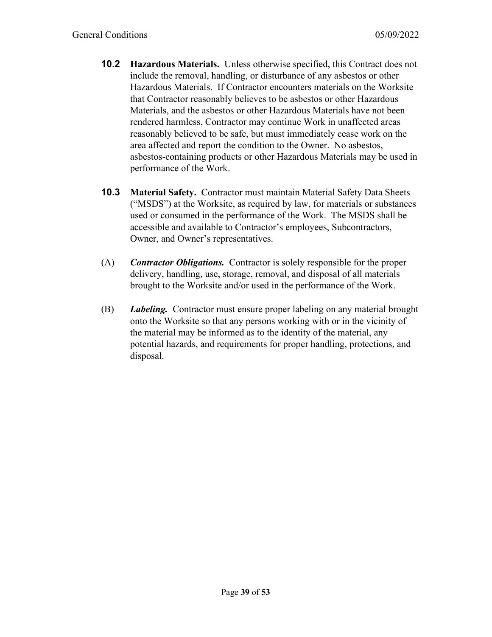- **10.2 Hazardous Materials.** Unless otherwise specified, this Contract does not include the removal, handling, or disturbance of any asbestos or other Hazardous Materials. If Contractor encounters materials on the Worksite that Contractor reasonably believes to be asbestos or other Hazardous Materials, and the asbestos or other Hazardous Materials have not been rendered harmless, Contractor may continue Work in unaffected areas reasonably believed to be safe, but must immediately cease work on the area affected and report the condition to the Owner. No asbestos, asbestos-containing products or other Hazardous Materials may be used in performance of the Work.
- **10.3 Material Safety.** Contractor must maintain Material Safety Data Sheets ("MSDS") at the Worksite, as required by law, for materials or substances used or consumed in the performance of the Work. The MSDS shall be accessible and available to Contractor's employees, Subcontractors, Owner, and Owner's representatives.
- (A) *Contractor Obligations.* Contractor is solely responsible for the proper delivery, handling, use, storage, removal, and disposal of all materials brought to the Worksite and/or used in the performance of the Work.
- (B) *Labeling.* Contractor must ensure proper labeling on any material brought onto the Worksite so that any persons working with or in the vicinity of the material may be informed as to the identity of the material, any potential hazards, and requirements for proper handling, protections, and disposal.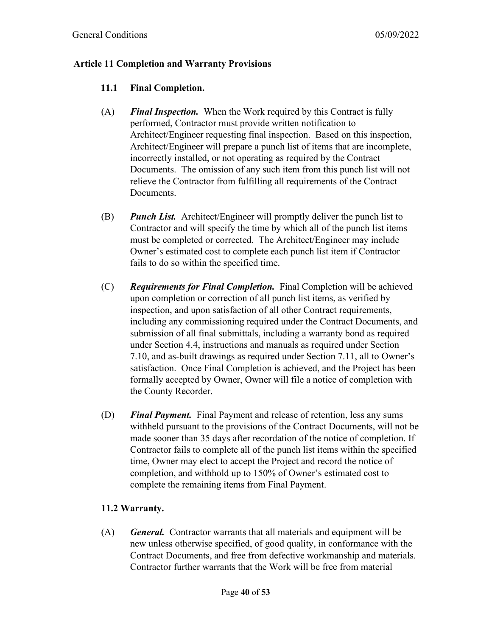#### **Article 11 Completion and Warranty Provisions**

### **11.1 Final Completion.**

- (A) *Final Inspection.* When the Work required by this Contract is fully performed, Contractor must provide written notification to Architect/Engineer requesting final inspection. Based on this inspection, Architect/Engineer will prepare a punch list of items that are incomplete, incorrectly installed, or not operating as required by the Contract Documents. The omission of any such item from this punch list will not relieve the Contractor from fulfilling all requirements of the Contract Documents.
- (B) *Punch List.* Architect/Engineer will promptly deliver the punch list to Contractor and will specify the time by which all of the punch list items must be completed or corrected. The Architect/Engineer may include Owner's estimated cost to complete each punch list item if Contractor fails to do so within the specified time.
- (C) *Requirements for Final Completion.* Final Completion will be achieved upon completion or correction of all punch list items, as verified by inspection, and upon satisfaction of all other Contract requirements, including any commissioning required under the Contract Documents, and submission of all final submittals, including a warranty bond as required under Section 4.4, instructions and manuals as required under Section 7.10, and as-built drawings as required under Section 7.11, all to Owner's satisfaction. Once Final Completion is achieved, and the Project has been formally accepted by Owner, Owner will file a notice of completion with the County Recorder.
- (D) *Final Payment.* Final Payment and release of retention, less any sums withheld pursuant to the provisions of the Contract Documents, will not be made sooner than 35 days after recordation of the notice of completion. If Contractor fails to complete all of the punch list items within the specified time, Owner may elect to accept the Project and record the notice of completion, and withhold up to 150% of Owner's estimated cost to complete the remaining items from Final Payment.

# **11.2 Warranty.**

(A) *General.* Contractor warrants that all materials and equipment will be new unless otherwise specified, of good quality, in conformance with the Contract Documents, and free from defective workmanship and materials. Contractor further warrants that the Work will be free from material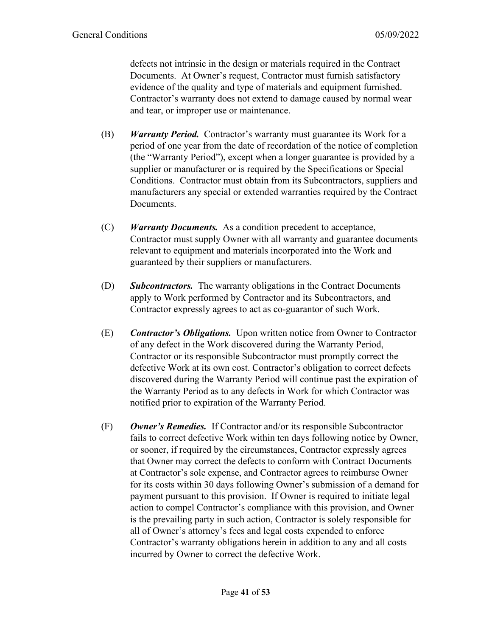defects not intrinsic in the design or materials required in the Contract Documents. At Owner's request, Contractor must furnish satisfactory evidence of the quality and type of materials and equipment furnished. Contractor's warranty does not extend to damage caused by normal wear and tear, or improper use or maintenance.

- (B) *Warranty Period.* Contractor's warranty must guarantee its Work for a period of one year from the date of recordation of the notice of completion (the "Warranty Period"), except when a longer guarantee is provided by a supplier or manufacturer or is required by the Specifications or Special Conditions. Contractor must obtain from its Subcontractors, suppliers and manufacturers any special or extended warranties required by the Contract Documents.
- (C) *Warranty Documents.* As a condition precedent to acceptance, Contractor must supply Owner with all warranty and guarantee documents relevant to equipment and materials incorporated into the Work and guaranteed by their suppliers or manufacturers.
- (D) *Subcontractors.* The warranty obligations in the Contract Documents apply to Work performed by Contractor and its Subcontractors, and Contractor expressly agrees to act as co-guarantor of such Work.
- (E) *Contractor's Obligations.* Upon written notice from Owner to Contractor of any defect in the Work discovered during the Warranty Period, Contractor or its responsible Subcontractor must promptly correct the defective Work at its own cost. Contractor's obligation to correct defects discovered during the Warranty Period will continue past the expiration of the Warranty Period as to any defects in Work for which Contractor was notified prior to expiration of the Warranty Period.
- (F) *Owner's Remedies.* If Contractor and/or its responsible Subcontractor fails to correct defective Work within ten days following notice by Owner, or sooner, if required by the circumstances, Contractor expressly agrees that Owner may correct the defects to conform with Contract Documents at Contractor's sole expense, and Contractor agrees to reimburse Owner for its costs within 30 days following Owner's submission of a demand for payment pursuant to this provision. If Owner is required to initiate legal action to compel Contractor's compliance with this provision, and Owner is the prevailing party in such action, Contractor is solely responsible for all of Owner's attorney's fees and legal costs expended to enforce Contractor's warranty obligations herein in addition to any and all costs incurred by Owner to correct the defective Work.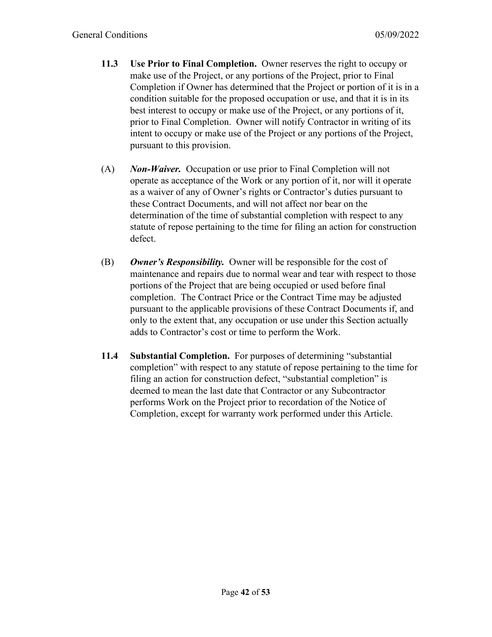- **11.3 Use Prior to Final Completion.** Owner reserves the right to occupy or make use of the Project, or any portions of the Project, prior to Final Completion if Owner has determined that the Project or portion of it is in a condition suitable for the proposed occupation or use, and that it is in its best interest to occupy or make use of the Project, or any portions of it, prior to Final Completion. Owner will notify Contractor in writing of its intent to occupy or make use of the Project or any portions of the Project, pursuant to this provision.
- (A) *Non-Waiver.* Occupation or use prior to Final Completion will not operate as acceptance of the Work or any portion of it, nor will it operate as a waiver of any of Owner's rights or Contractor's duties pursuant to these Contract Documents, and will not affect nor bear on the determination of the time of substantial completion with respect to any statute of repose pertaining to the time for filing an action for construction defect.
- (B) *Owner's Responsibility.* Owner will be responsible for the cost of maintenance and repairs due to normal wear and tear with respect to those portions of the Project that are being occupied or used before final completion. The Contract Price or the Contract Time may be adjusted pursuant to the applicable provisions of these Contract Documents if, and only to the extent that, any occupation or use under this Section actually adds to Contractor's cost or time to perform the Work.
- **11.4 Substantial Completion.** For purposes of determining "substantial completion" with respect to any statute of repose pertaining to the time for filing an action for construction defect, "substantial completion" is deemed to mean the last date that Contractor or any Subcontractor performs Work on the Project prior to recordation of the Notice of Completion, except for warranty work performed under this Article.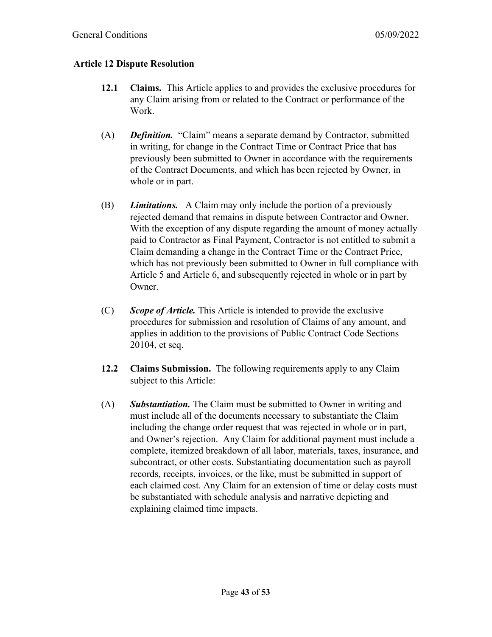#### **Article 12 Dispute Resolution**

- **12.1 Claims.** This Article applies to and provides the exclusive procedures for any Claim arising from or related to the Contract or performance of the Work.
- (A) *Definition.* "Claim" means a separate demand by Contractor, submitted in writing, for change in the Contract Time or Contract Price that has previously been submitted to Owner in accordance with the requirements of the Contract Documents, and which has been rejected by Owner, in whole or in part.
- (B) *Limitations.* A Claim may only include the portion of a previously rejected demand that remains in dispute between Contractor and Owner. With the exception of any dispute regarding the amount of money actually paid to Contractor as Final Payment, Contractor is not entitled to submit a Claim demanding a change in the Contract Time or the Contract Price, which has not previously been submitted to Owner in full compliance with Article 5 and Article 6, and subsequently rejected in whole or in part by Owner.
- (C) *Scope of Article.* This Article is intended to provide the exclusive procedures for submission and resolution of Claims of any amount, and applies in addition to the provisions of Public Contract Code Sections 20104, et seq.
- **12.2 Claims Submission.** The following requirements apply to any Claim subject to this Article:
- (A) *Substantiation.* The Claim must be submitted to Owner in writing and must include all of the documents necessary to substantiate the Claim including the change order request that was rejected in whole or in part, and Owner's rejection. Any Claim for additional payment must include a complete, itemized breakdown of all labor, materials, taxes, insurance, and subcontract, or other costs. Substantiating documentation such as payroll records, receipts, invoices, or the like, must be submitted in support of each claimed cost. Any Claim for an extension of time or delay costs must be substantiated with schedule analysis and narrative depicting and explaining claimed time impacts.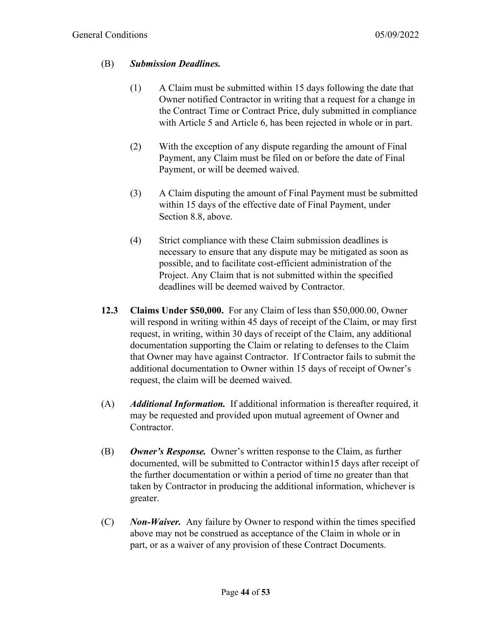#### (B) *Submission Deadlines.*

- (1) A Claim must be submitted within 15 days following the date that Owner notified Contractor in writing that a request for a change in the Contract Time or Contract Price, duly submitted in compliance with Article 5 and Article 6, has been rejected in whole or in part.
- (2) With the exception of any dispute regarding the amount of Final Payment, any Claim must be filed on or before the date of Final Payment, or will be deemed waived.
- (3) A Claim disputing the amount of Final Payment must be submitted within 15 days of the effective date of Final Payment, under Section 8.8, above.
- (4) Strict compliance with these Claim submission deadlines is necessary to ensure that any dispute may be mitigated as soon as possible, and to facilitate cost-efficient administration of the Project. Any Claim that is not submitted within the specified deadlines will be deemed waived by Contractor.
- **12.3 Claims Under \$50,000.** For any Claim of less than \$50,000.00, Owner will respond in writing within 45 days of receipt of the Claim, or may first request, in writing, within 30 days of receipt of the Claim, any additional documentation supporting the Claim or relating to defenses to the Claim that Owner may have against Contractor. If Contractor fails to submit the additional documentation to Owner within 15 days of receipt of Owner's request, the claim will be deemed waived.
- (A) *Additional Information.* If additional information is thereafter required, it may be requested and provided upon mutual agreement of Owner and Contractor.
- (B) *Owner's Response.* Owner's written response to the Claim, as further documented, will be submitted to Contractor within15 days after receipt of the further documentation or within a period of time no greater than that taken by Contractor in producing the additional information, whichever is greater.
- (C) *Non-Waiver.* Any failure by Owner to respond within the times specified above may not be construed as acceptance of the Claim in whole or in part, or as a waiver of any provision of these Contract Documents.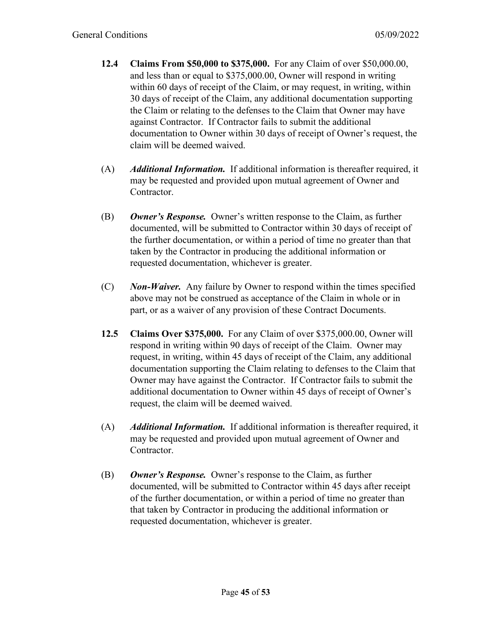- **12.4 Claims From \$50,000 to \$375,000.** For any Claim of over \$50,000.00, and less than or equal to \$375,000.00, Owner will respond in writing within 60 days of receipt of the Claim, or may request, in writing, within 30 days of receipt of the Claim, any additional documentation supporting the Claim or relating to the defenses to the Claim that Owner may have against Contractor. If Contractor fails to submit the additional documentation to Owner within 30 days of receipt of Owner's request, the claim will be deemed waived.
- (A) *Additional Information.* If additional information is thereafter required, it may be requested and provided upon mutual agreement of Owner and Contractor.
- (B) *Owner's Response.* Owner's written response to the Claim, as further documented, will be submitted to Contractor within 30 days of receipt of the further documentation, or within a period of time no greater than that taken by the Contractor in producing the additional information or requested documentation, whichever is greater.
- (C) *Non-Waiver.* Any failure by Owner to respond within the times specified above may not be construed as acceptance of the Claim in whole or in part, or as a waiver of any provision of these Contract Documents.
- **12.5 Claims Over \$375,000.** For any Claim of over \$375,000.00, Owner will respond in writing within 90 days of receipt of the Claim. Owner may request, in writing, within 45 days of receipt of the Claim, any additional documentation supporting the Claim relating to defenses to the Claim that Owner may have against the Contractor. If Contractor fails to submit the additional documentation to Owner within 45 days of receipt of Owner's request, the claim will be deemed waived.
- (A) *Additional Information.* If additional information is thereafter required, it may be requested and provided upon mutual agreement of Owner and Contractor.
- (B) *Owner's Response.* Owner's response to the Claim, as further documented, will be submitted to Contractor within 45 days after receipt of the further documentation, or within a period of time no greater than that taken by Contractor in producing the additional information or requested documentation, whichever is greater.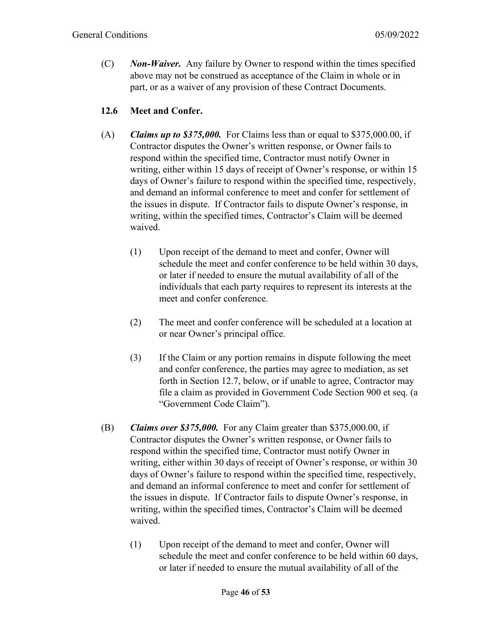(C) *Non-Waiver.* Any failure by Owner to respond within the times specified above may not be construed as acceptance of the Claim in whole or in part, or as a waiver of any provision of these Contract Documents.

#### **12.6 Meet and Confer.**

- (A) *Claims up to \$375,000.* For Claims less than or equal to \$375,000.00, if Contractor disputes the Owner's written response, or Owner fails to respond within the specified time, Contractor must notify Owner in writing, either within 15 days of receipt of Owner's response, or within 15 days of Owner's failure to respond within the specified time, respectively, and demand an informal conference to meet and confer for settlement of the issues in dispute. If Contractor fails to dispute Owner's response, in writing, within the specified times, Contractor's Claim will be deemed waived.
	- (1) Upon receipt of the demand to meet and confer, Owner will schedule the meet and confer conference to be held within 30 days, or later if needed to ensure the mutual availability of all of the individuals that each party requires to represent its interests at the meet and confer conference.
	- (2) The meet and confer conference will be scheduled at a location at or near Owner's principal office.
	- (3) If the Claim or any portion remains in dispute following the meet and confer conference, the parties may agree to mediation, as set forth in Section 12.7, below, or if unable to agree, Contractor may file a claim as provided in Government Code Section 900 et seq. (a "Government Code Claim").
- (B) *Claims over \$375,000.* For any Claim greater than \$375,000.00, if Contractor disputes the Owner's written response, or Owner fails to respond within the specified time, Contractor must notify Owner in writing, either within 30 days of receipt of Owner's response, or within 30 days of Owner's failure to respond within the specified time, respectively, and demand an informal conference to meet and confer for settlement of the issues in dispute. If Contractor fails to dispute Owner's response, in writing, within the specified times, Contractor's Claim will be deemed waived.
	- (1) Upon receipt of the demand to meet and confer, Owner will schedule the meet and confer conference to be held within 60 days, or later if needed to ensure the mutual availability of all of the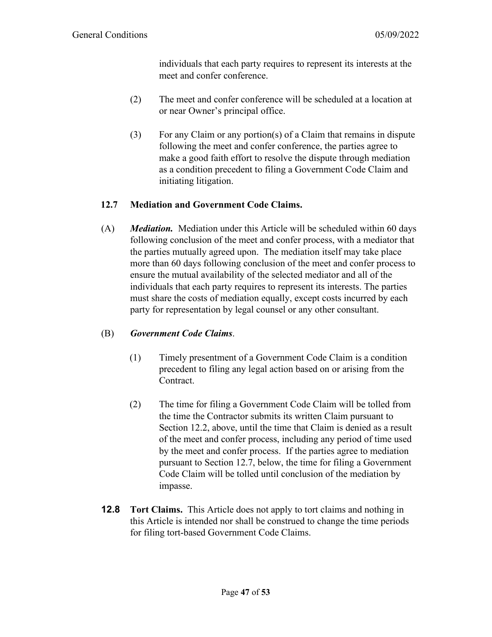individuals that each party requires to represent its interests at the meet and confer conference.

- (2) The meet and confer conference will be scheduled at a location at or near Owner's principal office.
- (3) For any Claim or any portion(s) of a Claim that remains in dispute following the meet and confer conference, the parties agree to make a good faith effort to resolve the dispute through mediation as a condition precedent to filing a Government Code Claim and initiating litigation.

# **12.7 Mediation and Government Code Claims.**

(A) *Mediation.*Mediation under this Article will be scheduled within 60 days following conclusion of the meet and confer process, with a mediator that the parties mutually agreed upon. The mediation itself may take place more than 60 days following conclusion of the meet and confer process to ensure the mutual availability of the selected mediator and all of the individuals that each party requires to represent its interests. The parties must share the costs of mediation equally, except costs incurred by each party for representation by legal counsel or any other consultant.

#### (B) *Government Code Claims*.

- (1) Timely presentment of a Government Code Claim is a condition precedent to filing any legal action based on or arising from the Contract.
- (2) The time for filing a Government Code Claim will be tolled from the time the Contractor submits its written Claim pursuant to Section 12.2, above, until the time that Claim is denied as a result of the meet and confer process, including any period of time used by the meet and confer process. If the parties agree to mediation pursuant to Section 12.7, below, the time for filing a Government Code Claim will be tolled until conclusion of the mediation by impasse.
- **12.8 Tort Claims.** This Article does not apply to tort claims and nothing in this Article is intended nor shall be construed to change the time periods for filing tort-based Government Code Claims.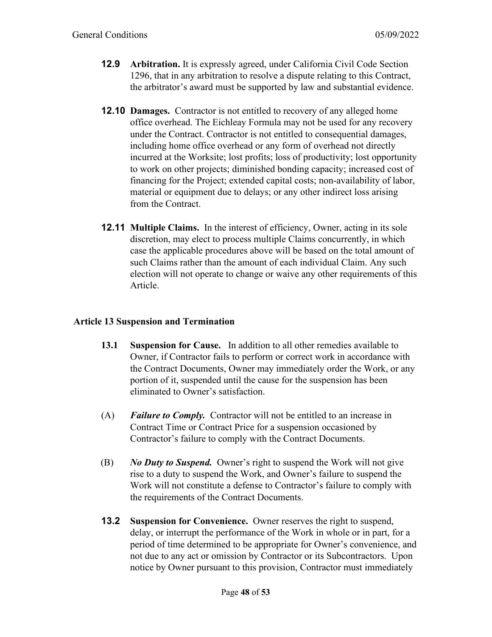- **12.9 Arbitration.** It is expressly agreed, under California Civil Code Section 1296, that in any arbitration to resolve a dispute relating to this Contract, the arbitrator's award must be supported by law and substantial evidence.
- **12.10 Damages.** Contractor is not entitled to recovery of any alleged home office overhead. The Eichleay Formula may not be used for any recovery under the Contract. Contractor is not entitled to consequential damages, including home office overhead or any form of overhead not directly incurred at the Worksite; lost profits; loss of productivity; lost opportunity to work on other projects; diminished bonding capacity; increased cost of financing for the Project; extended capital costs; non-availability of labor, material or equipment due to delays; or any other indirect loss arising from the Contract.
- **12.11 Multiple Claims.** In the interest of efficiency, Owner, acting in its sole discretion, may elect to process multiple Claims concurrently, in which case the applicable procedures above will be based on the total amount of such Claims rather than the amount of each individual Claim. Any such election will not operate to change or waive any other requirements of this Article.

#### **Article 13 Suspension and Termination**

- **13.1 Suspension for Cause.** In addition to all other remedies available to Owner, if Contractor fails to perform or correct work in accordance with the Contract Documents, Owner may immediately order the Work, or any portion of it, suspended until the cause for the suspension has been eliminated to Owner's satisfaction.
- (A) *Failure to Comply.* Contractor will not be entitled to an increase in Contract Time or Contract Price for a suspension occasioned by Contractor's failure to comply with the Contract Documents.
- (B) *No Duty to Suspend.* Owner's right to suspend the Work will not give rise to a duty to suspend the Work, and Owner's failure to suspend the Work will not constitute a defense to Contractor's failure to comply with the requirements of the Contract Documents.
- **13.2 Suspension for Convenience.** Owner reserves the right to suspend, delay, or interrupt the performance of the Work in whole or in part, for a period of time determined to be appropriate for Owner's convenience, and not due to any act or omission by Contractor or its Subcontractors. Upon notice by Owner pursuant to this provision, Contractor must immediately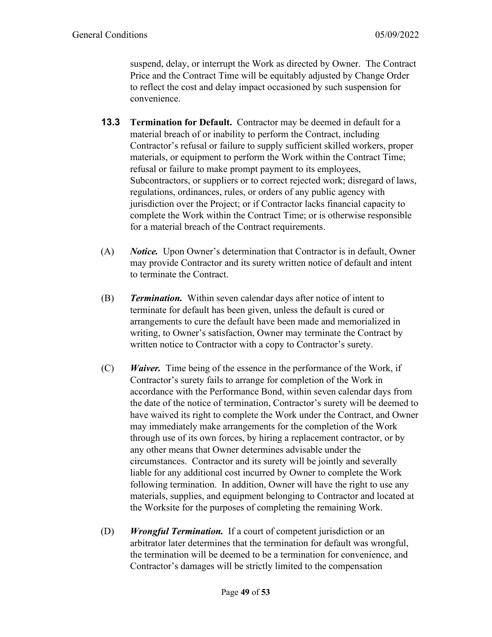suspend, delay, or interrupt the Work as directed by Owner. The Contract Price and the Contract Time will be equitably adjusted by Change Order to reflect the cost and delay impact occasioned by such suspension for convenience.

- **13.3 Termination for Default.** Contractor may be deemed in default for a material breach of or inability to perform the Contract, including Contractor's refusal or failure to supply sufficient skilled workers, proper materials, or equipment to perform the Work within the Contract Time; refusal or failure to make prompt payment to its employees, Subcontractors, or suppliers or to correct rejected work; disregard of laws, regulations, ordinances, rules, or orders of any public agency with jurisdiction over the Project; or if Contractor lacks financial capacity to complete the Work within the Contract Time; or is otherwise responsible for a material breach of the Contract requirements.
- (A) *Notice.* Upon Owner's determination that Contractor is in default, Owner may provide Contractor and its surety written notice of default and intent to terminate the Contract.
- (B) *Termination.* Within seven calendar days after notice of intent to terminate for default has been given, unless the default is cured or arrangements to cure the default have been made and memorialized in writing, to Owner's satisfaction, Owner may terminate the Contract by written notice to Contractor with a copy to Contractor's surety.
- (C) *Waiver.* Time being of the essence in the performance of the Work, if Contractor's surety fails to arrange for completion of the Work in accordance with the Performance Bond, within seven calendar days from the date of the notice of termination, Contractor's surety will be deemed to have waived its right to complete the Work under the Contract, and Owner may immediately make arrangements for the completion of the Work through use of its own forces, by hiring a replacement contractor, or by any other means that Owner determines advisable under the circumstances. Contractor and its surety will be jointly and severally liable for any additional cost incurred by Owner to complete the Work following termination. In addition, Owner will have the right to use any materials, supplies, and equipment belonging to Contractor and located at the Worksite for the purposes of completing the remaining Work.
- (D) *Wrongful Termination.* If a court of competent jurisdiction or an arbitrator later determines that the termination for default was wrongful, the termination will be deemed to be a termination for convenience, and Contractor's damages will be strictly limited to the compensation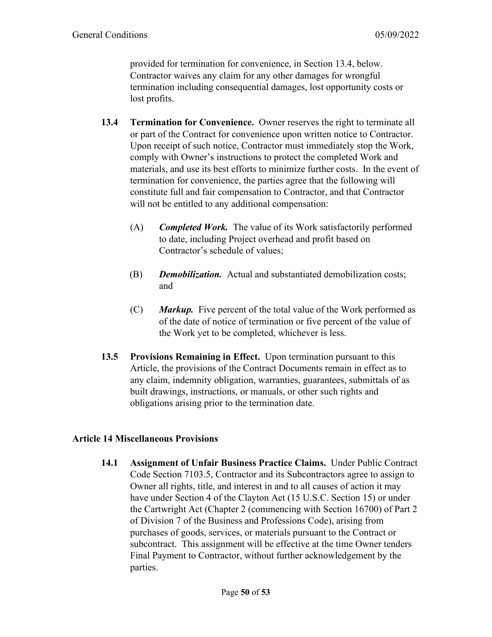provided for termination for convenience, in Section 13.4, below. Contractor waives any claim for any other damages for wrongful termination including consequential damages, lost opportunity costs or lost profits.

- **13.4 Termination for Convenience.** Owner reserves the right to terminate all or part of the Contract for convenience upon written notice to Contractor. Upon receipt of such notice, Contractor must immediately stop the Work, comply with Owner's instructions to protect the completed Work and materials, and use its best efforts to minimize further costs. In the event of termination for convenience, the parties agree that the following will constitute full and fair compensation to Contractor, and that Contractor will not be entitled to any additional compensation:
	- (A) *Completed Work.* The value of its Work satisfactorily performed to date, including Project overhead and profit based on Contractor's schedule of values;
	- (B) *Demobilization.* Actual and substantiated demobilization costs; and
	- (C) *Markup.* Five percent of the total value of the Work performed as of the date of notice of termination or five percent of the value of the Work yet to be completed, whichever is less.
- **13.5 Provisions Remaining in Effect.** Upon termination pursuant to this Article, the provisions of the Contract Documents remain in effect as to any claim, indemnity obligation, warranties, guarantees, submittals of as built drawings, instructions, or manuals, or other such rights and obligations arising prior to the termination date.

#### **Article 14 Miscellaneous Provisions**

**14.1 Assignment of Unfair Business Practice Claims.** Under Public Contract Code Section 7103.5, Contractor and its Subcontractors agree to assign to Owner all rights, title, and interest in and to all causes of action it may have under Section 4 of the Clayton Act (15 U.S.C. Section 15) or under the Cartwright Act (Chapter 2 (commencing with Section 16700) of Part 2 of Division 7 of the Business and Professions Code), arising from purchases of goods, services, or materials pursuant to the Contract or subcontract. This assignment will be effective at the time Owner tenders Final Payment to Contractor, without further acknowledgement by the parties.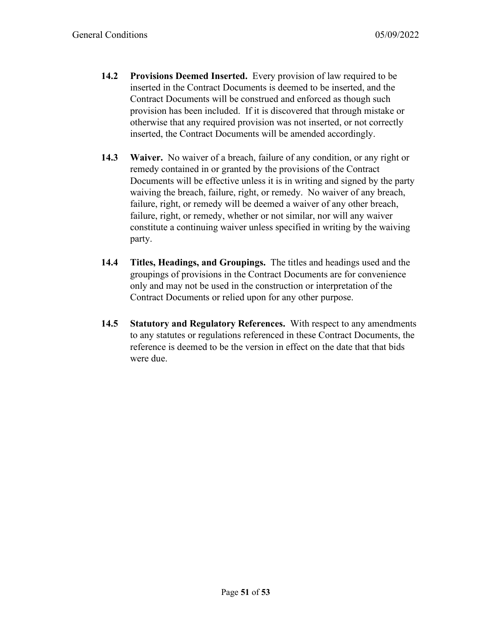- **14.2 Provisions Deemed Inserted.** Every provision of law required to be inserted in the Contract Documents is deemed to be inserted, and the Contract Documents will be construed and enforced as though such provision has been included. If it is discovered that through mistake or otherwise that any required provision was not inserted, or not correctly inserted, the Contract Documents will be amended accordingly.
- **14.3 Waiver.** No waiver of a breach, failure of any condition, or any right or remedy contained in or granted by the provisions of the Contract Documents will be effective unless it is in writing and signed by the party waiving the breach, failure, right, or remedy. No waiver of any breach, failure, right, or remedy will be deemed a waiver of any other breach, failure, right, or remedy, whether or not similar, nor will any waiver constitute a continuing waiver unless specified in writing by the waiving party.
- **14.4 Titles, Headings, and Groupings.** The titles and headings used and the groupings of provisions in the Contract Documents are for convenience only and may not be used in the construction or interpretation of the Contract Documents or relied upon for any other purpose.
- **14.5 Statutory and Regulatory References.** With respect to any amendments to any statutes or regulations referenced in these Contract Documents, the reference is deemed to be the version in effect on the date that that bids were due.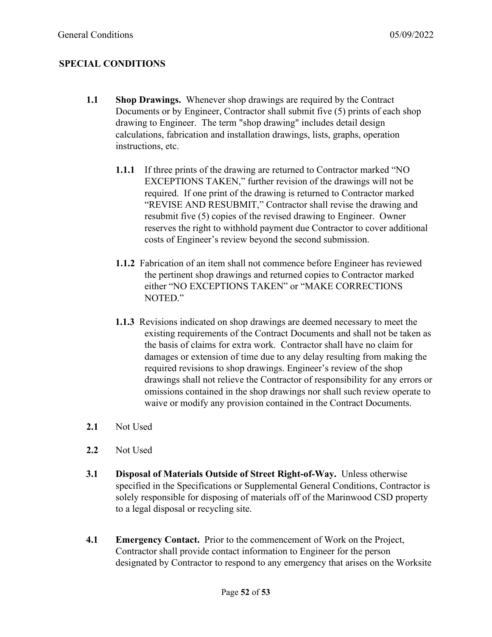# **SPECIAL CONDITIONS**

- **1.1 Shop Drawings.** Whenever shop drawings are required by the Contract Documents or by Engineer, Contractor shall submit five (5) prints of each shop drawing to Engineer. The term "shop drawing" includes detail design calculations, fabrication and installation drawings, lists, graphs, operation instructions, etc.
	- **1.1.1** If three prints of the drawing are returned to Contractor marked "NO EXCEPTIONS TAKEN," further revision of the drawings will not be required. If one print of the drawing is returned to Contractor marked "REVISE AND RESUBMIT," Contractor shall revise the drawing and resubmit five (5) copies of the revised drawing to Engineer. Owner reserves the right to withhold payment due Contractor to cover additional costs of Engineer's review beyond the second submission.
	- **1.1.2** Fabrication of an item shall not commence before Engineer has reviewed the pertinent shop drawings and returned copies to Contractor marked either "NO EXCEPTIONS TAKEN" or "MAKE CORRECTIONS NOTED."
	- **1.1.3** Revisions indicated on shop drawings are deemed necessary to meet the existing requirements of the Contract Documents and shall not be taken as the basis of claims for extra work. Contractor shall have no claim for damages or extension of time due to any delay resulting from making the required revisions to shop drawings. Engineer's review of the shop drawings shall not relieve the Contractor of responsibility for any errors or omissions contained in the shop drawings nor shall such review operate to waive or modify any provision contained in the Contract Documents.
- **2.1** Not Used
- **2.2** Not Used
- **3.1 Disposal of Materials Outside of Street Right-of-Way.** Unless otherwise specified in the Specifications or Supplemental General Conditions, Contractor is solely responsible for disposing of materials off of the Marinwood CSD property to a legal disposal or recycling site.
- **4.1 Emergency Contact.** Prior to the commencement of Work on the Project, Contractor shall provide contact information to Engineer for the person designated by Contractor to respond to any emergency that arises on the Worksite